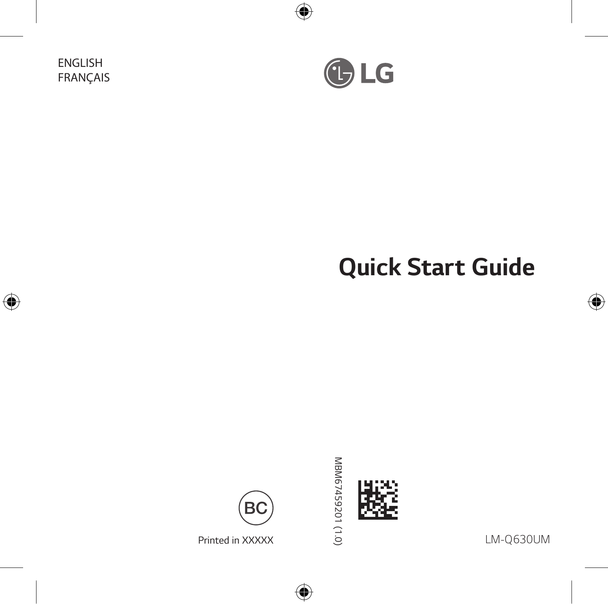ENGLISH FRANÇAIS



# *Quick Start Guide*



MBM67459201 (1.0) *MBM67459201 (1.0)*



*LM-Q630UM*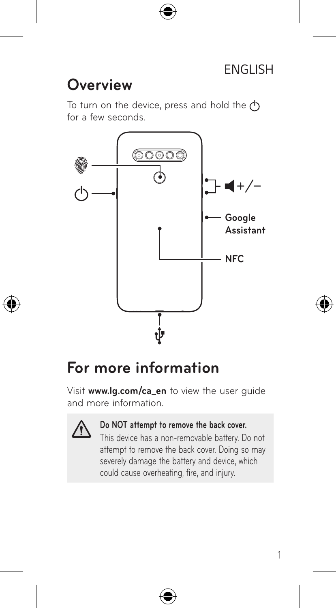## **Overview**

To turn on the device, press and hold the  $\uparrow$ for a few seconds.



## **For more information**

Visit **www.lg.com/ca\_en** to view the user guide and more information.



#### **Do NOT attempt to remove the back cover.**

This device has a non-removable battery. Do not attempt to remove the back cover. Doing so may severely damage the battery and device, which could cause overheating, fire, and injury.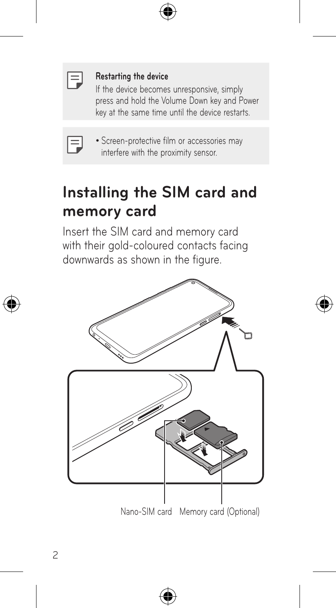| ___ |  |
|-----|--|
|     |  |
|     |  |

#### **Restarting the device**

If the device becomes unresponsive, simply press and hold the Volume Down key and Power .<br>key at the same time until the device restarts.

| _____ |  |
|-------|--|
|       |  |

• Screen-protective film or accessories may interfere with the proximity sensor.

## **Installing the SIM card and memory card**

Insert the SIM card and memory card with their gold-coloured contacts facing downwards as shown in the figure.

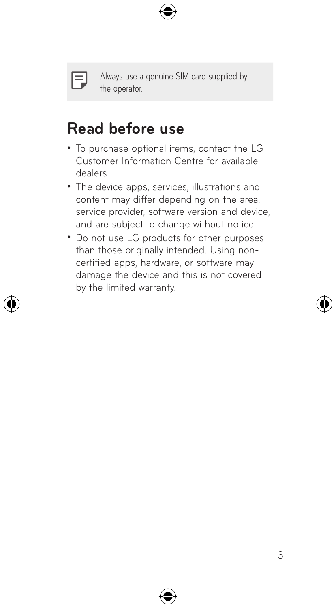

Always use a genuine SIM card supplied by the operator.

## **Read before use**

- To purchase optional items, contact the LG Customer Information Centre for available dealers.
- The device apps, services, illustrations and content may differ depending on the area, service provider, software version and device, and are subject to change without notice.
- Do not use LG products for other purposes than those originally intended. Using noncertified apps, hardware, or software may damage the device and this is not covered by the limited warranty.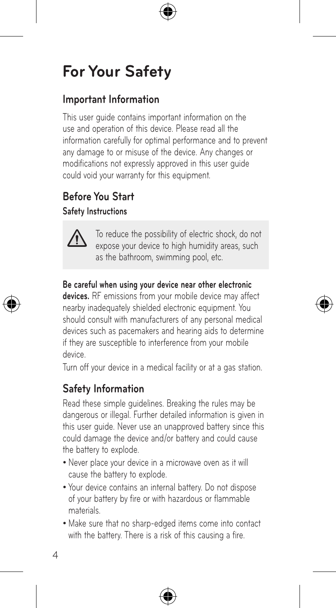## **For Your Safety**

## **Important Information**

This user guide contains important information on the use and operation of this device. Please read all the information carefully for optimal performance and to prevent any damage to or misuse of the device. Any changes or modifications not expressly approved in this user guide could void your warranty for this equipment.

## **Before You Start Safety Instructions**



To reduce the possibility of electric shock, do not expose your device to high humidity areas, such as the bathroom, swimming pool, etc.

#### **Be careful when using your device near other electronic**

**devices.** RF emissions from your mobile device may affect nearby inadequately shielded electronic equipment. You should consult with manufacturers of any personal medical devices such as pacemakers and hearing aids to determine if they are susceptible to interference from your mobile device.

Turn off your device in a medical facility or at a gas station.

## **Safety Information**

Read these simple guidelines. Breaking the rules may be dangerous or illegal. Further detailed information is given in this user guide. Never use an unapproved battery since this could damage the device and/or battery and could cause the battery to explode.

- Never place your device in a microwave oven as it will cause the battery to explode.
- • Your device contains an internal battery. Do not dispose of your battery by fire or with hazardous or flammable materials.
- • Make sure that no sharp-edged items come into contact with the battery. There is a risk of this causing a fire.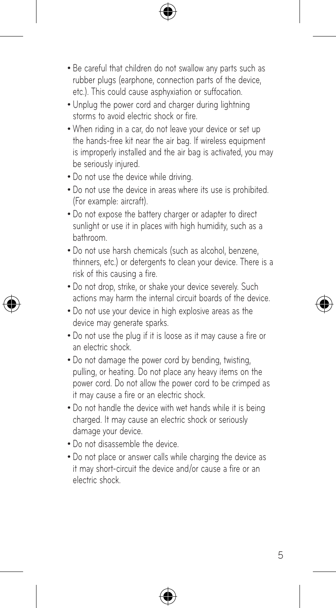- Be careful that children do not swallow any parts such as rubber plugs (earphone, connection parts of the device, etc.). This could cause asphyxiation or suffocation.
- Unplug the power cord and charger during lightning storms to avoid electric shock or fire.
- When riding in a car, do not leave your device or set up the hands-free kit near the air bag. If wireless equipment is improperly installed and the air bag is activated, you may be seriously injured.
- Do not use the device while driving.
- Do not use the device in areas where its use is prohibited. (For example: aircraft).
- Do not expose the battery charger or adapter to direct sunlight or use it in places with high humidity, such as a bathroom.
- Do not use harsh chemicals (such as alcohol, benzene, thinners, etc.) or detergents to clean your device. There is a risk of this causing a fire.
- Do not drop, strike, or shake your device severely. Such actions may harm the internal circuit boards of the device.
- Do not use your device in high explosive areas as the device may generate sparks.
- Do not use the plug if it is loose as it may cause a fire or an electric shock.
- Do not damage the power cord by bending, twisting, pulling, or heating. Do not place any heavy items on the power cord. Do not allow the power cord to be crimped as it may cause a fire or an electric shock.
- Do not handle the device with wet hands while it is being charged. It may cause an electric shock or seriously damage your device.
- Do not disassemble the device.
- Do not place or answer calls while charging the device as it may short-circuit the device and/or cause a fire or an electric shock.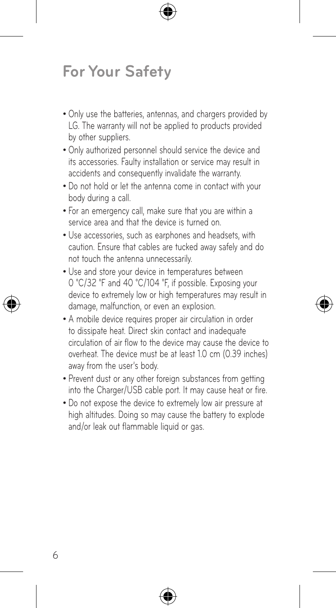## **For Your Safety**

- Only use the batteries, antennas, and chargers provided by LG. The warranty will not be applied to products provided by other suppliers.
- Only authorized personnel should service the device and its accessories. Faulty installation or service may result in accidents and consequently invalidate the warranty.
- Do not hold or let the antenna come in contact with your body during a call.
- For an emergency call, make sure that you are within a service area and that the device is turned on.
- • Use accessories, such as earphones and headsets, with caution. Ensure that cables are tucked away safely and do not touch the antenna unnecessarily.
- Use and store your device in temperatures between 0 °C/32 °F and 40 °C/104 °F, if possible. Exposing your device to extremely low or high temperatures may result in damage, malfunction, or even an explosion.
- A mobile device requires proper air circulation in order to dissipate heat. Direct skin contact and inadequate circulation of air flow to the device may cause the device to overheat. The device must be at least 1.0 cm (0.39 inches) away from the user's body.
- Prevent dust or any other foreign substances from getting into the Charger/USB cable port. It may cause heat or fire.
- Do not expose the device to extremely low air pressure at high altitudes. Doing so may cause the battery to explode and/or leak out flammable liquid or gas.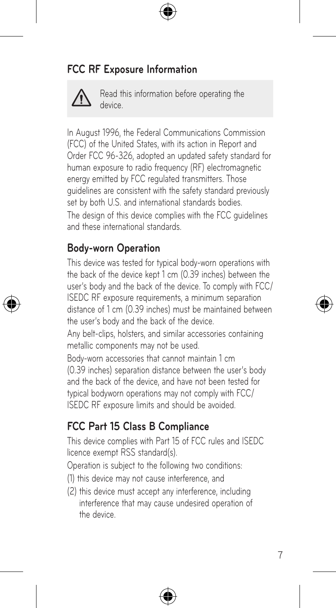## **FCC RF Exposure Information**



Read this information before operating the device.

In August 1996, the Federal Communications Commission (FCC) of the United States, with its action in Report and Order FCC 96-326, adopted an updated safety standard for human exposure to radio frequency (RF) electromagnetic energy emitted by FCC regulated transmitters. Those guidelines are consistent with the safety standard previously set by both U.S. and international standards bodies. The design of this device complies with the FCC guidelines and these international standards.

### **Body-worn Operation**

This device was tested for typical body-worn operations with the back of the device kept 1 cm (0.39 inches) between the user's body and the back of the device. To comply with FCC/ ISEDC RF exposure requirements, a minimum separation distance of 1 cm (0.39 inches) must be maintained between the user's body and the back of the device.

Any belt-clips, holsters, and similar accessories containing metallic components may not be used.

Body-worn accessories that cannot maintain 1 cm (0.39 inches) separation distance between the user's body and the back of the device, and have not been tested for typical bodyworn operations may not comply with FCC/ ISEDC RF exposure limits and should be avoided.

## **FCC Part 15 Class B Compliance**

This device complies with Part 15 of FCC rules and ISEDC licence exempt RSS standard(s).

Operation is subject to the following two conditions:

- (1) this device may not cause interference, and
- (2) this device must accept any interference, including interference that may cause undesired operation of the device.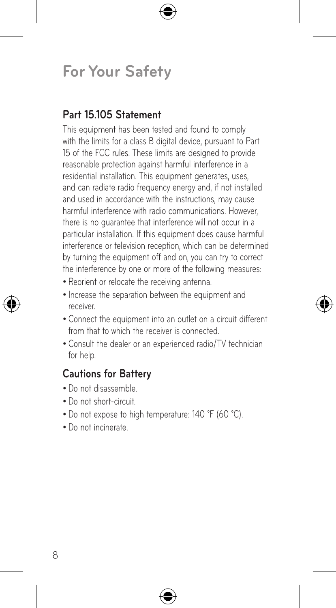## **For Your Safety**

### **Part 15.105 Statement**

This equipment has been tested and found to comply with the limits for a class B digital device, pursuant to Part 15 of the FCC rules. These limits are designed to provide reasonable protection against harmful interference in a residential installation. This equipment generates, uses, and can radiate radio frequency energy and, if not installed and used in accordance with the instructions, may cause harmful interference with radio communications. However, there is no guarantee that interference will not occur in a particular installation. If this equipment does cause harmful interference or television reception, which can be determined by turning the equipment off and on, you can try to correct the interference by one or more of the following measures:

- Reorient or relocate the receiving antenna.
- Increase the separation between the equipment and receiver.
- • Connect the equipment into an outlet on a circuit different from that to which the receiver is connected.
- • Consult the dealer or an experienced radio/TV technician for help.

## **Cautions for Battery**

- • Do not disassemble.
- Do not short-circuit.
- Do not expose to high temperature: 140 °F (60 °C).
- • Do not incinerate.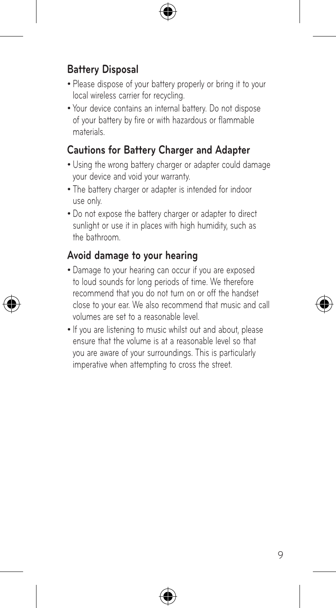## **Battery Disposal**

- Please dispose of your battery properly or bring it to your local wireless carrier for recycling.
- • Your device contains an internal battery. Do not dispose of your battery by fire or with hazardous or flammable materials.

## **Cautions for Battery Charger and Adapter**

- Using the wrong battery charger or adapter could damage your device and void your warranty.
- The battery charger or adapter is intended for indoor use only.
- Do not expose the battery charger or adapter to direct sunlight or use it in places with high humidity, such as the bathroom.

### **Avoid damage to your hearing**

- • Damage to your hearing can occur if you are exposed to loud sounds for long periods of time. We therefore recommend that you do not turn on or off the handset close to your ear. We also recommend that music and call volumes are set to a reasonable level.
- If you are listening to music whilst out and about, please ensure that the volume is at a reasonable level so that you are aware of your surroundings. This is particularly imperative when attempting to cross the street.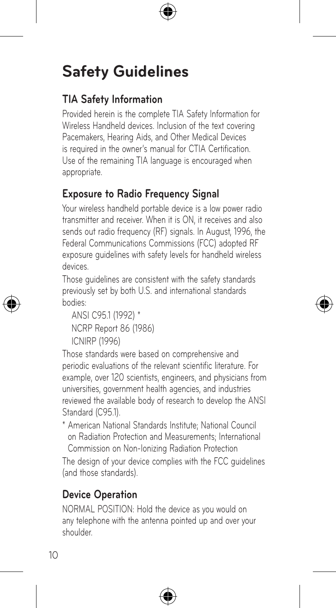## **TIA Safety Information**

Provided herein is the complete TIA Safety Information for Wireless Handheld devices. Inclusion of the text covering Pacemakers, Hearing Aids, and Other Medical Devices is required in the owner's manual for CTIA Certification. Use of the remaining TIA language is encouraged when appropriate.

## **Exposure to Radio Frequency Signal**

Your wireless handheld portable device is a low power radio transmitter and receiver. When it is ON, it receives and also sends out radio frequency (RF) signals. In August, 1996, the Federal Communications Commissions (FCC) adopted RF exposure guidelines with safety levels for handheld wireless devices.

Those guidelines are consistent with the safety standards previously set by both U.S. and international standards bodies:

```
ANSI C95.1 (1992) *
NCRP Report 86 (1986)
ICNIRP (1996)
```
Those standards were based on comprehensive and periodic evaluations of the relevant scientific literature. For example, over 120 scientists, engineers, and physicians from universities, government health agencies, and industries reviewed the available body of research to develop the ANSI Standard (C95.1).

\* American National Standards Institute; National Council on Radiation Protection and Measurements; International Commission on Non-Ionizing Radiation Protection

The design of your device complies with the FCC guidelines (and those standards).

## **Device Operation**

NORMAL POSITION: Hold the device as you would on any telephone with the antenna pointed up and over your shoulder.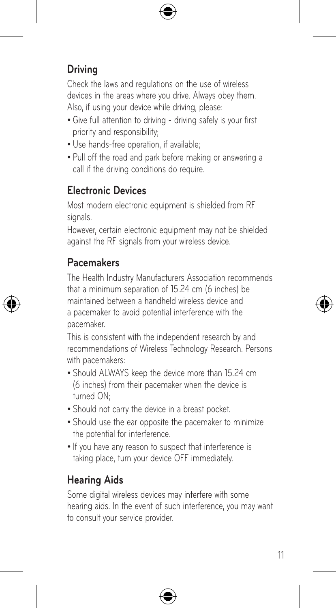## **Driving**

Check the laws and regulations on the use of wireless devices in the areas where you drive. Always obey them. Also, if using your device while driving, please:

- Give full attention to driving driving safely is your first priority and responsibility;
- Use hands-free operation, if available:
- • Pull off the road and park before making or answering a call if the driving conditions do require.

## **Electronic Devices**

Most modern electronic equipment is shielded from RF signals.

However, certain electronic equipment may not be shielded against the RF signals from your wireless device.

## **Pacemakers**

The Health Industry Manufacturers Association recommends that a minimum separation of 15.24 cm (6 inches) be maintained between a handheld wireless device and a pacemaker to avoid potential interference with the pacemaker.

This is consistent with the independent research by and recommendations of Wireless Technology Research. Persons with pacemakers:

- Should ALWAYS keep the device more than 15.24 cm (6 inches) from their pacemaker when the device is turned ON;
- Should not carry the device in a breast pocket.
- Should use the ear opposite the pacemaker to minimize the potential for interference.
- If you have any reason to suspect that interference is taking place, turn your device OFF immediately.

## **Hearing Aids**

Some digital wireless devices may interfere with some hearing aids. In the event of such interference, you may want to consult your service provider.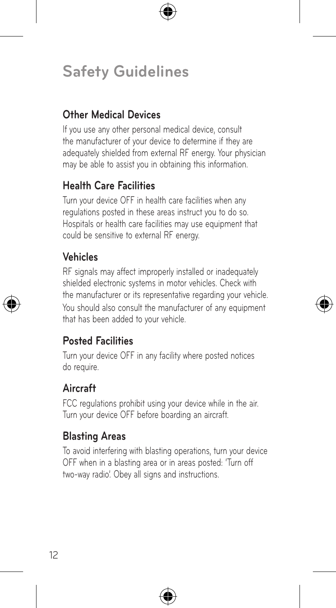## **Other Medical Devices**

If you use any other personal medical device, consult the manufacturer of your device to determine if they are adequately shielded from external RF energy. Your physician may be able to assist you in obtaining this information.

### **Health Care Facilities**

Turn your device OFF in health care facilities when any regulations posted in these areas instruct you to do so. Hospitals or health care facilities may use equipment that could be sensitive to external RF energy.

## **Vehicles**

RF signals may affect improperly installed or inadequately shielded electronic systems in motor vehicles. Check with the manufacturer or its representative regarding your vehicle. You should also consult the manufacturer of any equipment that has been added to your vehicle.

### **Posted Facilities**

Turn your device OFF in any facility where posted notices do require.

## **Aircraft**

FCC regulations prohibit using your device while in the air. Turn your device OFF before boarding an aircraft.

### **Blasting Areas**

To avoid interfering with blasting operations, turn your device OFF when in a blasting area or in areas posted: 'Turn off two-way radio'. Obey all signs and instructions.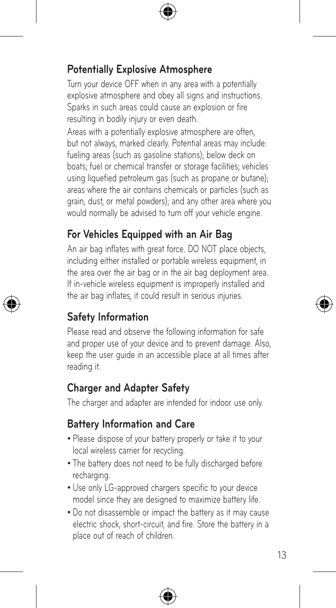## **Potentially Explosive Atmosphere**

Turn your device OFF when in any area with a potentially explosive atmosphere and obey all signs and instructions. Sparks in such areas could cause an explosion or fire resulting in bodily injury or even death.

Areas with a potentially explosive atmosphere are often, but not always, marked clearly. Potential areas may include: fueling areas (such as gasoline stations); below deck on boats; fuel or chemical transfer or storage facilities; vehicles using liquefied petroleum gas (such as propane or butane); areas where the air contains chemicals or particles (such as grain, dust, or metal powders); and any other area where you would normally be advised to turn off your vehicle engine.

## **For Vehicles Equipped with an Air Bag**

An air bag inflates with great force. DO NOT place objects, including either installed or portable wireless equipment, in the area over the air bag or in the air bag deployment area. If in-vehicle wireless equipment is improperly installed and the air bag inflates, it could result in serious injuries.

## **Safety Information**

Please read and observe the following information for safe and proper use of your device and to prevent damage. Also, keep the user guide in an accessible place at all times after reading it.

### **Charger and Adapter Safety**

The charger and adapter are intended for indoor use only.

### **Battery Information and Care**

- Please dispose of your battery properly or take it to your local wireless carrier for recycling.
- The battery does not need to be fully discharged before recharging.
- Use only LG-approved chargers specific to your device model since they are designed to maximize battery life.
- • Do not disassemble or impact the battery as it may cause electric shock, short-circuit, and fire. Store the battery in a place out of reach of children.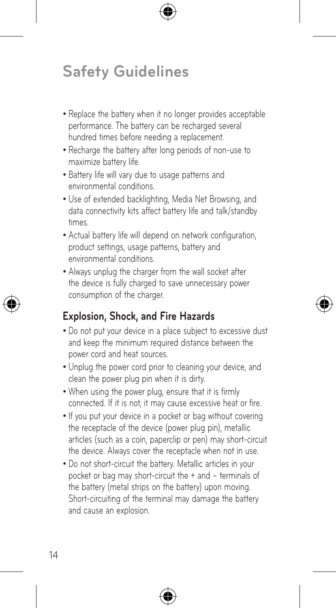- Replace the battery when it no longer provides acceptable performance. The battery can be recharged several hundred times before needing a replacement.
- • Recharge the battery after long periods of non-use to maximize battery life.
- Battery life will vary due to usage patterns and environmental conditions.
- • Use of extended backlighting, Media Net Browsing, and data connectivity kits affect battery life and talk/standby times.
- Actual battery life will depend on network configuration, product settings, usage patterns, battery and environmental conditions.
- Always unplug the charger from the wall socket after the device is fully charged to save unnecessary power consumption of the charger.

## **Explosion, Shock, and Fire Hazards**

- Do not put your device in a place subject to excessive dust and keep the minimum required distance between the power cord and heat sources.
- Unplug the power cord prior to cleaning your device, and clean the power plug pin when it is dirty.
- • When using the power plug, ensure that it is firmly connected. If it is not, it may cause excessive heat or fire.
- If you put your device in a pocket or bag without covering the receptacle of the device (power plug pin), metallic articles (such as a coin, paperclip or pen) may short-circuit the device. Always cover the receptacle when not in use.
- Do not short-circuit the battery. Metallic articles in your pocket or bag may short-circuit the + and – terminals of the battery (metal strips on the battery) upon moving. Short-circuiting of the terminal may damage the battery and cause an explosion.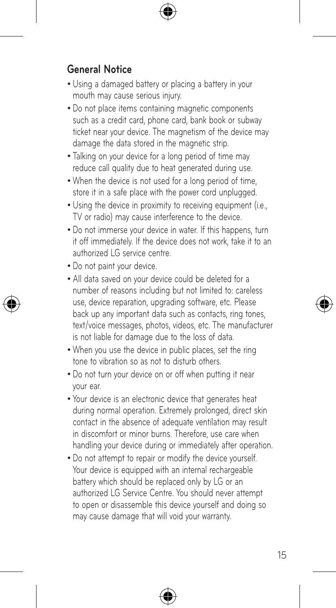## **General Notice**

- Using a damaged battery or placing a battery in your mouth may cause serious injury.
- Do not place items containing magnetic components such as a credit card, phone card, bank book or subway ticket near your device. The magnetism of the device may damage the data stored in the magnetic strip.
- Talking on your device for a long period of time may reduce call quality due to heat generated during use.
- When the device is not used for a long period of time store it in a safe place with the power cord unplugged.
- Using the device in proximity to receiving equipment (i.e., TV or radio) may cause interference to the device.
- Do not immerse your device in water. If this happens, turn it off immediately. If the device does not work, take it to an authorized LG service centre.
- Do not paint your device.
- All data saved on your device could be deleted for a number of reasons including but not limited to: careless use, device reparation, upgrading software, etc. Please back up any important data such as contacts, ring tones, text/voice messages, photos, videos, etc. The manufacturer is not liable for damage due to the loss of data.
- When you use the device in public places, set the ring tone to vibration so as not to disturb others.
- Do not turn your device on or off when putting it near your ear.
- • Your device is an electronic device that generates heat during normal operation. Extremely prolonged, direct skin contact in the absence of adequate ventilation may result in discomfort or minor burns. Therefore, use care when handling your device during or immediately after operation.
- • Do not attempt to repair or modify the device yourself. Your device is equipped with an internal rechargeable battery which should be replaced only by LG or an authorized LG Service Centre. You should never attempt to open or disassemble this device yourself and doing so may cause damage that will void your warranty.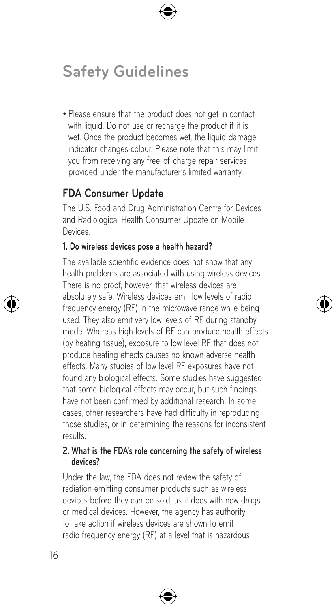• Please ensure that the product does not get in contact with liquid. Do not use or recharge the product if it is wet. Once the product becomes wet, the liquid damage indicator changes colour. Please note that this may limit you from receiving any free-of-charge repair services provided under the manufacturer's limited warranty.

## **FDA Consumer Update**

The U.S. Food and Drug Administration Centre for Devices and Radiological Health Consumer Update on Mobile **Devices** 

#### **1. Do wireless devices pose a health hazard?**

The available scientific evidence does not show that any health problems are associated with using wireless devices. There is no proof, however, that wireless devices are absolutely safe. Wireless devices emit low levels of radio frequency energy (RF) in the microwave range while being used. They also emit very low levels of RF during standby mode. Whereas high levels of RF can produce health effects (by heating tissue), exposure to low level RF that does not produce heating effects causes no known adverse health effects. Many studies of low level RF exposures have not found any biological effects. Some studies have suggested that some biological effects may occur, but such findings have not been confirmed by additional research. In some cases, other researchers have had difficulty in reproducing those studies, or in determining the reasons for inconsistent results.

#### **2. What is the FDA's role concerning the safety of wireless devices?**

Under the law, the FDA does not review the safety of radiation emitting consumer products such as wireless devices before they can be sold, as it does with new drugs or medical devices. However, the agency has authority to take action if wireless devices are shown to emit radio frequency energy (RF) at a level that is hazardous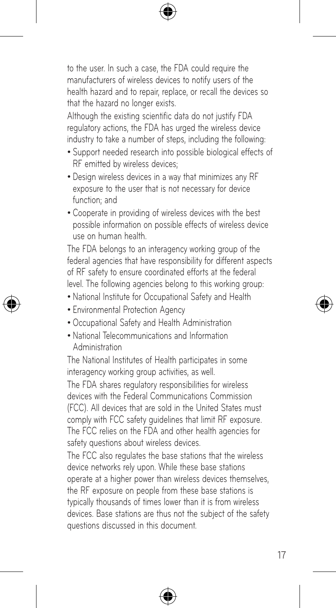to the user. In such a case, the FDA could require the manufacturers of wireless devices to notify users of the health hazard and to repair, replace, or recall the devices so that the hazard no longer exists.

Although the existing scientific data do not justify FDA regulatory actions, the FDA has urged the wireless device industry to take a number of steps, including the following:

- Support needed research into possible biological effects of RF emitted by wireless devices;
- Design wireless devices in a way that minimizes any RF exposure to the user that is not necessary for device function; and
- • Cooperate in providing of wireless devices with the best possible information on possible effects of wireless device use on human health.

The FDA belongs to an interagency working group of the federal agencies that have responsibility for different aspects of RF safety to ensure coordinated efforts at the federal level. The following agencies belong to this working group:

- National Institute for Occupational Safety and Health
- Environmental Protection Agency
- • Occupational Safety and Health Administration
- • National Telecommunications and Information Administration

The National Institutes of Health participates in some interagency working group activities, as well.

The FDA shares regulatory responsibilities for wireless devices with the Federal Communications Commission (FCC). All devices that are sold in the United States must comply with FCC safety guidelines that limit RF exposure. The FCC relies on the FDA and other health agencies for safety questions about wireless devices.

The FCC also regulates the base stations that the wireless device networks rely upon. While these base stations operate at a higher power than wireless devices themselves. the RF exposure on people from these base stations is typically thousands of times lower than it is from wireless devices. Base stations are thus not the subject of the safety questions discussed in this document.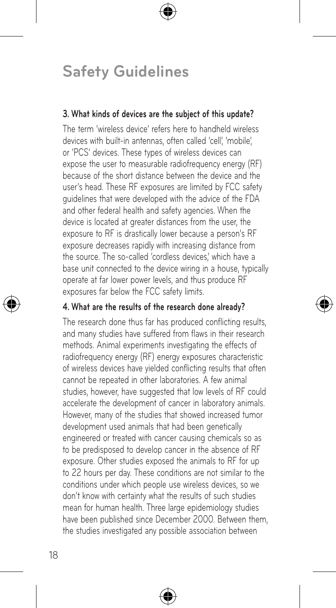#### **3. What kinds of devices are the subject of this update?**

The term 'wireless device' refers here to handheld wireless devices with built-in antennas, often called 'cell', 'mobile', or 'PCS' devices. These types of wireless devices can expose the user to measurable radiofrequency energy (RF) because of the short distance between the device and the user's head. These RF exposures are limited by FCC safety guidelines that were developed with the advice of the FDA and other federal health and safety agencies. When the device is located at greater distances from the user, the exposure to RF is drastically lower because a person's RF exposure decreases rapidly with increasing distance from the source. The so-called 'cordless devices,' which have a base unit connected to the device wiring in a house, typically operate at far lower power levels, and thus produce RF exposures far below the FCC safety limits.

#### **4. What are the results of the research done already?**

The research done thus far has produced conflicting results, and many studies have suffered from flaws in their research methods. Animal experiments investigating the effects of radiofrequency energy (RF) energy exposures characteristic of wireless devices have yielded conflicting results that often cannot be repeated in other laboratories. A few animal studies, however, have suggested that low levels of RF could accelerate the development of cancer in laboratory animals. However, many of the studies that showed increased tumor development used animals that had been genetically engineered or treated with cancer causing chemicals so as to be predisposed to develop cancer in the absence of RF exposure. Other studies exposed the animals to RF for up to 22 hours per day. These conditions are not similar to the conditions under which people use wireless devices, so we don't know with certainty what the results of such studies mean for human health. Three large epidemiology studies have been published since December 2000. Between them, the studies investigated any possible association between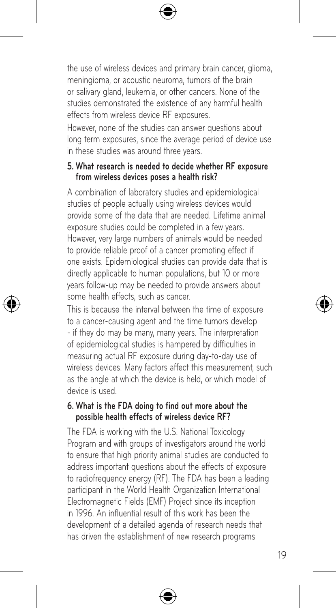the use of wireless devices and primary brain cancer, glioma, meningioma, or acoustic neuroma, tumors of the brain or salivary gland, leukemia, or other cancers. None of the studies demonstrated the existence of any harmful health effects from wireless device RF exposures.

However, none of the studies can answer questions about long term exposures, since the average period of device use in these studies was around three years.

#### **5. What research is needed to decide whether RF exposure from wireless devices poses a health risk?**

A combination of laboratory studies and epidemiological studies of people actually using wireless devices would provide some of the data that are needed. Lifetime animal exposure studies could be completed in a few years. However, very large numbers of animals would be needed to provide reliable proof of a cancer promoting effect if one exists. Epidemiological studies can provide data that is directly applicable to human populations, but 10 or more years follow-up may be needed to provide answers about some health effects, such as cancer.

This is because the interval between the time of exposure to a cancer-causing agent and the time tumors develop - if they do may be many, many years. The interpretation of epidemiological studies is hampered by difficulties in measuring actual RF exposure during day-to-day use of wireless devices. Many factors affect this measurement, such as the angle at which the device is held, or which model of device is used.

#### **6. What is the FDA doing to find out more about the possible health effects of wireless device RF?**

The FDA is working with the U.S. National Toxicology Program and with groups of investigators around the world to ensure that high priority animal studies are conducted to address important questions about the effects of exposure to radiofrequency energy (RF). The FDA has been a leading participant in the World Health Organization International Electromagnetic Fields (EMF) Project since its inception in 1996. An influential result of this work has been the development of a detailed agenda of research needs that has driven the establishment of new research programs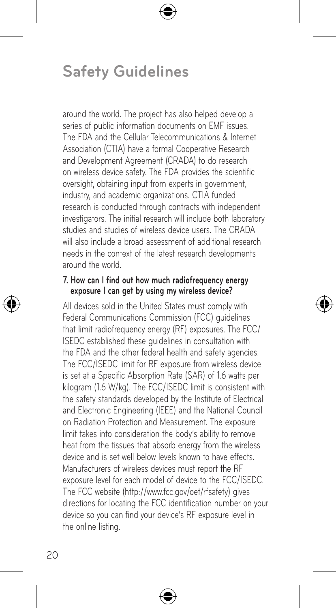around the world. The project has also helped develop a series of public information documents on EMF issues. The FDA and the Cellular Telecommunications & Internet Association (CTIA) have a formal Cooperative Research and Development Agreement (CRADA) to do research on wireless device safety. The FDA provides the scientific oversight, obtaining input from experts in government, industry, and academic organizations. CTIA funded research is conducted through contracts with independent investigators. The initial research will include both laboratory studies and studies of wireless device users. The CRADA will also include a broad assessment of additional research needs in the context of the latest research developments around the world.

#### **7. How can I find out how much radiofrequency energy exposure I can get by using my wireless device?**

All devices sold in the United States must comply with Federal Communications Commission (FCC) guidelines that limit radiofrequency energy (RF) exposures. The FCC/ ISEDC established these guidelines in consultation with the FDA and the other federal health and safety agencies. The FCC/ISEDC limit for RF exposure from wireless device is set at a Specific Absorption Rate (SAR) of 1.6 watts per kilogram (1.6 W/kg). The FCC/ISEDC limit is consistent with the safety standards developed by the Institute of Electrical and Electronic Engineering (IEEE) and the National Council on Radiation Protection and Measurement. The exposure limit takes into consideration the body's ability to remove heat from the tissues that absorb energy from the wireless device and is set well below levels known to have effects. Manufacturers of wireless devices must report the RF exposure level for each model of device to the FCC/ISEDC. The FCC website (http://www.fcc.gov/oet/rfsafety) gives directions for locating the FCC identification number on your device so you can find your device's RF exposure level in the online listing.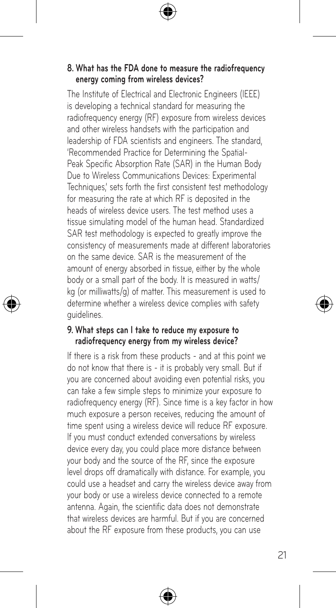#### **8. What has the FDA done to measure the radiofrequency energy coming from wireless devices?**

The Institute of Electrical and Electronic Engineers (IEEE) is developing a technical standard for measuring the radiofrequency energy (RF) exposure from wireless devices and other wireless handsets with the participation and leadership of FDA scientists and engineers. The standard, 'Recommended Practice for Determining the Spatial-Peak Specific Absorption Rate (SAR) in the Human Body Due to Wireless Communications Devices: Experimental Techniques,' sets forth the first consistent test methodology for measuring the rate at which RF is deposited in the heads of wireless device users. The test method uses a tissue simulating model of the human head. Standardized SAR test methodology is expected to greatly improve the consistency of measurements made at different laboratories on the same device. SAR is the measurement of the amount of energy absorbed in tissue, either by the whole body or a small part of the body. It is measured in watts/ kg (or milliwatts/g) of matter. This measurement is used to determine whether a wireless device complies with safety guidelines.

#### **9. What steps can I take to reduce my exposure to radiofrequency energy from my wireless device?**

If there is a risk from these products - and at this point we do not know that there is - it is probably very small. But if you are concerned about avoiding even potential risks, you can take a few simple steps to minimize your exposure to radiofrequency energy (RF). Since time is a key factor in how much exposure a person receives, reducing the amount of time spent using a wireless device will reduce RF exposure. If you must conduct extended conversations by wireless device every day, you could place more distance between your body and the source of the RF, since the exposure level drops off dramatically with distance. For example, you could use a headset and carry the wireless device away from your body or use a wireless device connected to a remote antenna. Again, the scientific data does not demonstrate that wireless devices are harmful. But if you are concerned about the RF exposure from these products, you can use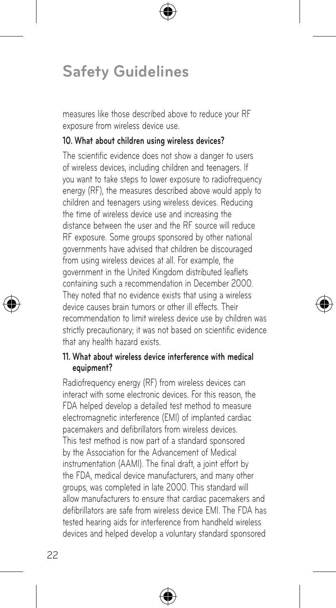measures like those described above to reduce your RF exposure from wireless device use.

#### **10. What about children using wireless devices?**

The scientific evidence does not show a danger to users of wireless devices, including children and teenagers. If you want to take steps to lower exposure to radiofrequency energy (RF), the measures described above would apply to children and teenagers using wireless devices. Reducing the time of wireless device use and increasing the distance between the user and the RF source will reduce RF exposure. Some groups sponsored by other national governments have advised that children be discouraged from using wireless devices at all. For example, the government in the United Kingdom distributed leaflets containing such a recommendation in December 2000. They noted that no evidence exists that using a wireless device causes brain tumors or other ill effects. Their recommendation to limit wireless device use by children was strictly precautionary; it was not based on scientific evidence that any health hazard exists.

#### **11. What about wireless device interference with medical equipment?**

Radiofrequency energy (RF) from wireless devices can interact with some electronic devices. For this reason, the FDA helped develop a detailed test method to measure electromagnetic interference (EMI) of implanted cardiac pacemakers and defibrillators from wireless devices. This test method is now part of a standard sponsored by the Association for the Advancement of Medical instrumentation (AAMI). The final draft, a joint effort by the FDA, medical device manufacturers, and many other groups, was completed in late 2000. This standard will allow manufacturers to ensure that cardiac pacemakers and defibrillators are safe from wireless device EMI. The FDA has tested hearing aids for interference from handheld wireless devices and helped develop a voluntary standard sponsored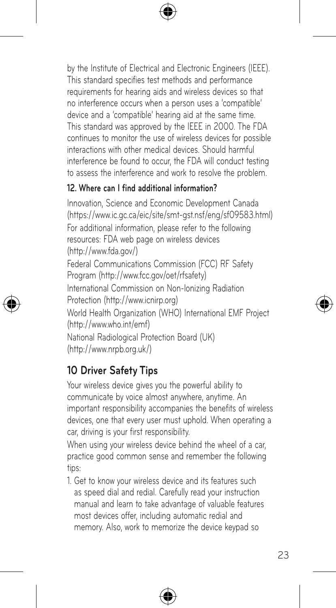by the Institute of Electrical and Electronic Engineers (IEEE). This standard specifies test methods and performance requirements for hearing aids and wireless devices so that no interference occurs when a person uses a 'compatible' device and a 'compatible' hearing aid at the same time. This standard was approved by the IEEE in 2000. The FDA continues to monitor the use of wireless devices for possible interactions with other medical devices. Should harmful interference be found to occur, the FDA will conduct testing to assess the interference and work to resolve the problem.

#### **12. Where can I find additional information?**

Innovation, Science and Economic Development Canada (https://www.ic.gc.ca/eic/site/smt-gst.nsf/eng/sf09583.html) For additional information, please refer to the following resources: FDA web page on wireless devices (http://www.fda.gov/) Federal Communications Commission (FCC) RF Safety Program (http://www.fcc.gov/oet/rfsafety) International Commission on Non-lonizing Radiation Protection (http://www.icnirp.org) World Health Organization (WHO) International EMF Project (http://www.who.int/emf) National Radiological Protection Board (UK) (http://www.nrpb.org.uk/)

## **10 Driver Safety Tips**

Your wireless device gives you the powerful ability to communicate by voice almost anywhere, anytime. An important responsibility accompanies the benefits of wireless devices, one that every user must uphold. When operating a car, driving is your first responsibility.

When using your wireless device behind the wheel of a car, practice good common sense and remember the following tips:

1. Get to know your wireless device and its features such as speed dial and redial. Carefully read your instruction manual and learn to take advantage of valuable features most devices offer, including automatic redial and memory. Also, work to memorize the device keypad so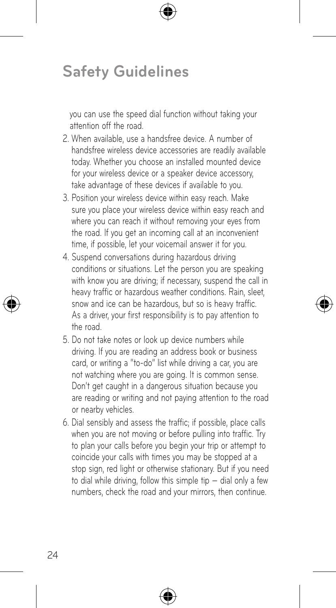you can use the speed dial function without taking your attention off the road.

- 2. When available, use a handsfree device. A number of handsfree wireless device accessories are readily available today. Whether you choose an installed mounted device for your wireless device or a speaker device accessory, take advantage of these devices if available to you.
- 3. Position your wireless device within easy reach. Make sure you place your wireless device within easy reach and where you can reach it without removing your eyes from the road. If you get an incoming call at an inconvenient time, if possible, let your voicemail answer it for you.
- 4. Suspend conversations during hazardous driving conditions or situations. Let the person you are speaking with know you are driving; if necessary, suspend the call in heavy traffic or hazardous weather conditions. Rain, sleet, snow and ice can be hazardous, but so is heavy traffic. As a driver, your first responsibility is to pay attention to the road.
- 5. Do not take notes or look up device numbers while driving. If you are reading an address book or business card, or writing a "to-do" list while driving a car, you are not watching where you are going. It is common sense. Don't get caught in a dangerous situation because you are reading or writing and not paying attention to the road or nearby vehicles.
- 6. Dial sensibly and assess the traffic; if possible, place calls when you are not moving or before pulling into traffic. Try to plan your calls before you begin your trip or attempt to coincide your calls with times you may be stopped at a stop sign, red light or otherwise stationary. But if you need to dial while driving, follow this simple tip — dial only a few numbers, check the road and your mirrors, then continue.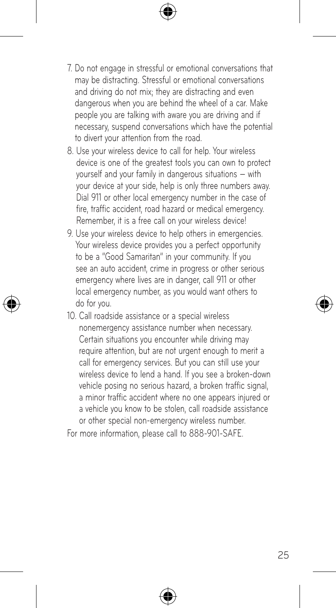- 7. Do not engage in stressful or emotional conversations that may be distracting. Stressful or emotional conversations and driving do not mix; they are distracting and even dangerous when you are behind the wheel of a car. Make people you are talking with aware you are driving and if necessary, suspend conversations which have the potential to divert your attention from the road.
- 8. Use your wireless device to call for help. Your wireless device is one of the greatest tools you can own to protect yourself and your family in dangerous situations — with your device at your side, help is only three numbers away. Dial 911 or other local emergency number in the case of fire, traffic accident, road hazard or medical emergency. Remember, it is a free call on your wireless device!
- 9. Use your wireless device to help others in emergencies. Your wireless device provides you a perfect opportunity to be a "Good Samaritan" in your community. If you see an auto accident, crime in progress or other serious emergency where lives are in danger, call 911 or other local emergency number, as you would want others to do for you.
- 10. Call roadside assistance or a special wireless nonemergency assistance number when necessary. Certain situations you encounter while driving may require attention, but are not urgent enough to merit a call for emergency services. But you can still use your wireless device to lend a hand. If you see a broken-down vehicle posing no serious hazard, a broken traffic signal. a minor traffic accident where no one appears injured or a vehicle you know to be stolen, call roadside assistance or other special non-emergency wireless number.

For more information, please call to 888-901-SAFE.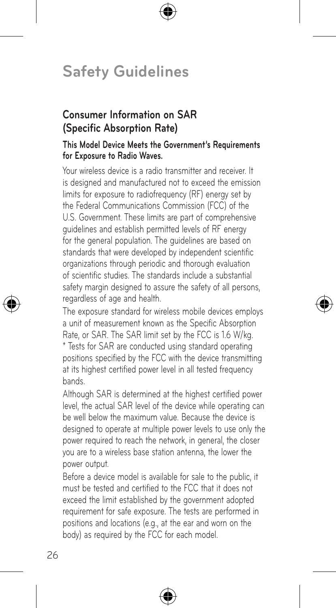### **Consumer Information on SAR (Specific Absorption Rate)**

#### **This Model Device Meets the Government's Requirements for Exposure to Radio Waves.**

Your wireless device is a radio transmitter and receiver. It is designed and manufactured not to exceed the emission limits for exposure to radiofrequency (RF) energy set by the Federal Communications Commission (FCC) of the U.S. Government. These limits are part of comprehensive guidelines and establish permitted levels of RF energy for the general population. The guidelines are based on standards that were developed by independent scientific organizations through periodic and thorough evaluation of scientific studies. The standards include a substantial safety margin designed to assure the safety of all persons. regardless of age and health.

The exposure standard for wireless mobile devices employs a unit of measurement known as the Specific Absorption Rate, or SAR. The SAR limit set by the FCC is 1.6 W/kg. \* Tests for SAR are conducted using standard operating positions specified by the FCC with the device transmitting at its highest certified power level in all tested frequency bands.

Although SAR is determined at the highest certified power level, the actual SAR level of the device while operating can be well below the maximum value. Because the device is designed to operate at multiple power levels to use only the power required to reach the network, in general, the closer you are to a wireless base station antenna, the lower the power output.

Before a device model is available for sale to the public, it must be tested and certified to the FCC that it does not exceed the limit established by the government adopted requirement for safe exposure. The tests are performed in positions and locations (e.g., at the ear and worn on the body) as required by the FCC for each model.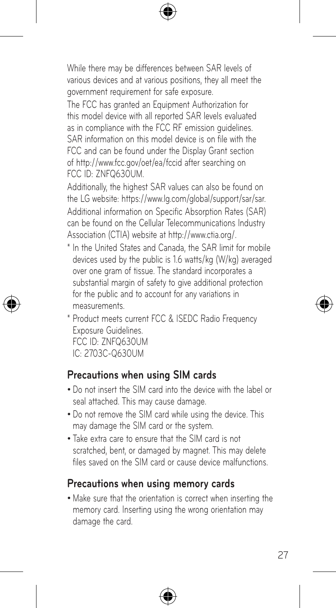While there may be differences between SAR levels of various devices and at various positions, they all meet the government requirement for safe exposure.

The FCC has granted an Equipment Authorization for this model device with all reported SAR levels evaluated as in compliance with the FCC RF emission quidelines. SAR information on this model device is on file with the FCC and can be found under the Display Grant section of http://www.fcc.gov/oet/ea/fccid after searching on FCC ID: ZNFQ630UM.

Additionally, the highest SAR values can also be found on the LG website: https://www.lg.com/global/support/sar/sar. Additional information on Specific Absorption Rates (SAR) can be found on the Cellular Telecommunications Industry Association (CTIA) website at http://www.ctia.org/.

- \* In the United States and Canada, the SAR limit for mobile devices used by the public is 1.6 watts/kg (W/kg) averaged over one gram of tissue. The standard incorporates a substantial margin of safety to give additional protection for the public and to account for any variations in measurements.
- \* Product meets current FCC & ISEDC Radio Frequency Exposure Guidelines. FCC ID: ZNFQ630UM IC: 2703C-Q630UM

### **Precautions when using SIM cards**

- Do not insert the SIM card into the device with the label or seal attached. This may cause damage.
- Do not remove the SIM card while using the device. This may damage the SIM card or the system.
- Take extra care to ensure that the SIM card is not scratched, bent, or damaged by magnet. This may delete files saved on the SIM card or cause device malfunctions.

### **Precautions when using memory cards**

• Make sure that the orientation is correct when inserting the memory card. Inserting using the wrong orientation may damage the card.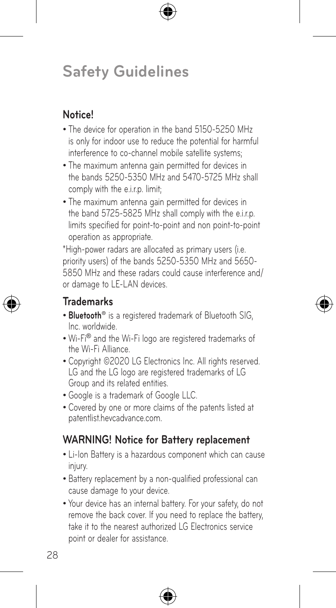## **Notice!**

- The device for operation in the band 5150-5250 MHz is only for indoor use to reduce the potential for harmful interference to co-channel mobile satellite systems;
- The maximum antenna gain permitted for devices in the bands 5250-5350 MHz and 5470-5725 MHz shall comply with the e.i.r.p. limit;
- The maximum antenna gain permitted for devices in the band 5725-5825 MHz shall comply with the e.i.r.p. limits specified for point-to-point and non point-to-point operation as appropriate.

\*High-power radars are allocated as primary users (i.e. priority users) of the bands 5250-5350 MHz and 5650- 5850 MHz and these radars could cause interference and/ or damage to LE-LAN devices.

## **Trademarks**

- **Bluetooth<sup>®</sup>** is a registered trademark of Bluetooth SIG. Inc. worldwide.
- • Wi-Fi® and the Wi-Fi logo are registered trademarks of the Wi-Fi Alliance.
- Copyright ©2020 LG Electronics Inc. All rights reserved. LG and the LG logo are registered trademarks of LG Group and its related entities.
- Google is a trademark of Google LLC.
- • Covered by one or more claims of the patents listed at patentlist.hevcadvance.com.

## **WARNING! Notice for Battery replacement**

- Li-Ion Battery is a hazardous component which can cause injury.
- Battery replacement by a non-qualified professional can cause damage to your device.
- Your device has an internal battery. For your safety, do not remove the back cover. If you need to replace the battery, take it to the nearest authorized LG Electronics service point or dealer for assistance.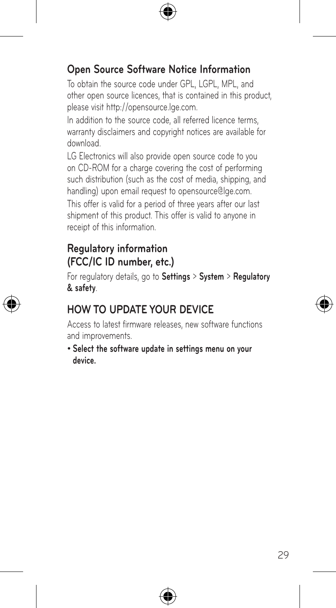## **Open Source Software Notice Information**

To obtain the source code under GPL, LGPL, MPL, and other open source licences, that is contained in this product, please visit http://opensource.lge.com.

In addition to the source code, all referred licence terms, warranty disclaimers and copyright notices are available for download.

LG Electronics will also provide open source code to you on CD-ROM for a charge covering the cost of performing such distribution (such as the cost of media, shipping, and handling) upon email request to opensource@lge.com. This offer is valid for a period of three years after our last shipment of this product. This offer is valid to anyone in receipt of this information.

## **Regulatory information (FCC/IC ID number, etc.)**

For regulatory details, go to **Settings** > **System** > **Regulatory & safety**.

## **HOW TO UPDATE YOUR DEVICE**

Access to latest firmware releases, new software functions and improvements.

• **Select the software update in settings menu on your device.**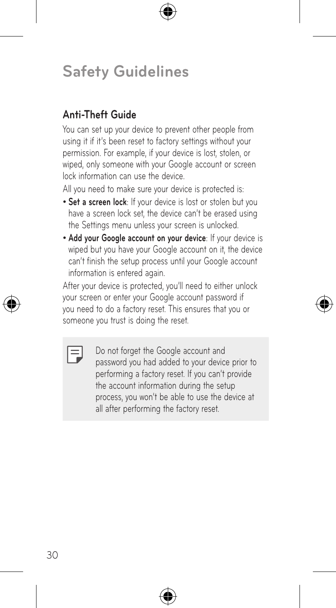## **Anti-Theft Guide**

You can set up your device to prevent other people from using it if it's been reset to factory settings without your permission. For example, if your device is lost, stolen, or wiped, only someone with your Google account or screen lock information can use the device.

All you need to make sure your device is protected is:

- **Set a screen lock**: If your device is lost or stolen but you have a screen lock set, the device can't be erased using the Settings menu unless your screen is unlocked.
- • **Add your Google account on your device**: If your device is wiped but you have your Google account on it, the device can't finish the setup process until your Google account information is entered again.

After your device is protected, you'll need to either unlock your screen or enter your Google account password if you need to do a factory reset. This ensures that you or someone you trust is doing the reset.

FJ

Do not forget the Google account and password you had added to your device prior to performing a factory reset. If you can't provide the account information during the setup process, you won't be able to use the device at all after performing the factory reset.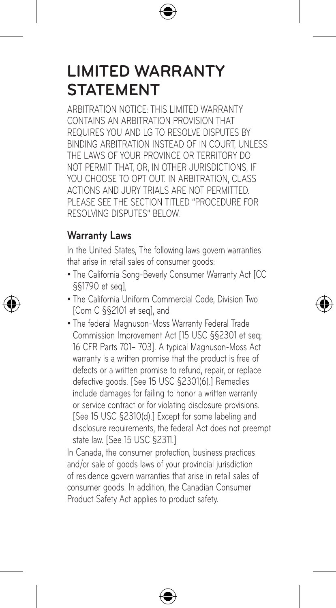## **LIMITED WARRANTY STATEMENT**

ARBITRATION NOTICE: THIS LIMITED WARRANTY CONTAINS AN ARBITRATION PROVISION THAT REQUIRES YOU AND LG TO RESOLVE DISPUTES BY BINDING ARBITRATION INSTEAD OF IN COURT, UNLESS THE LAWS OF YOUR PROVINCE OR TERRITORY DO NOT PERMIT THAT, OR, IN OTHER JURISDICTIONS, IF YOU CHOOSE TO OPT OUT. IN ARBITRATION, CLASS ACTIONS AND JURY TRIALS ARE NOT PERMITTED. PLEASE SEE THE SECTION TITLED "PROCEDURE FOR RESOLVING DISPUTES" BELOW.

## **Warranty Laws**

In the United States, The following laws govern warranties that arise in retail sales of consumer goods:

- The California Song-Beverly Consumer Warranty Act [CC §§1790 et seq],
- The California Uniform Commercial Code, Division Two [Com C §§2101 et seq], and
- The federal Magnuson-Moss Warranty Federal Trade Commission Improvement Act [15 USC §§2301 et seq; 16 CFR Parts 701– 703]. A typical Magnuson-Moss Act warranty is a written promise that the product is free of defects or a written promise to refund, repair, or replace defective goods. [See 15 USC §2301(6).] Remedies include damages for failing to honor a written warranty or service contract or for violating disclosure provisions. [See 15 USC §2310(d).] Except for some labeling and disclosure requirements, the federal Act does not preempt state law. [See 15 USC §2311.]

In Canada, the consumer protection, business practices and/or sale of goods laws of your provincial jurisdiction of residence govern warranties that arise in retail sales of consumer goods. In addition, the Canadian Consumer Product Safety Act applies to product safety.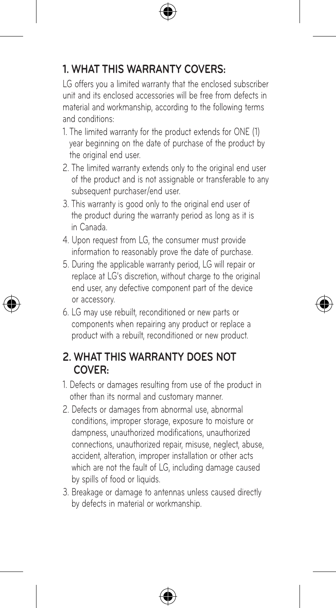## **1. WHAT THIS WARRANTY COVERS:**

LG offers you a limited warranty that the enclosed subscriber unit and its enclosed accessories will be free from defects in material and workmanship, according to the following terms and conditions:

- 1. The limited warranty for the product extends for ONE (1) year beginning on the date of purchase of the product by the original end user.
- 2. The limited warranty extends only to the original end user of the product and is not assignable or transferable to any subsequent purchaser/end user.
- 3. This warranty is good only to the original end user of the product during the warranty period as long as it is in Canada.
- 4. Upon request from LG, the consumer must provide information to reasonably prove the date of purchase.
- 5. During the applicable warranty period, LG will repair or replace at LG's discretion, without charge to the original end user, any defective component part of the device or accessory.
- 6. LG may use rebuilt, reconditioned or new parts or components when repairing any product or replace a product with a rebuilt, reconditioned or new product.

### **2. WHAT THIS WARRANTY DOES NOT COVER:**

- 1. Defects or damages resulting from use of the product in other than its normal and customary manner.
- 2. Defects or damages from abnormal use, abnormal conditions, improper storage, exposure to moisture or dampness, unauthorized modifications, unauthorized connections, unauthorized repair, misuse, neglect, abuse, accident, alteration, improper installation or other acts which are not the fault of LG, including damage caused by spills of food or liquids.
- 3. Breakage or damage to antennas unless caused directly by defects in material or workmanship.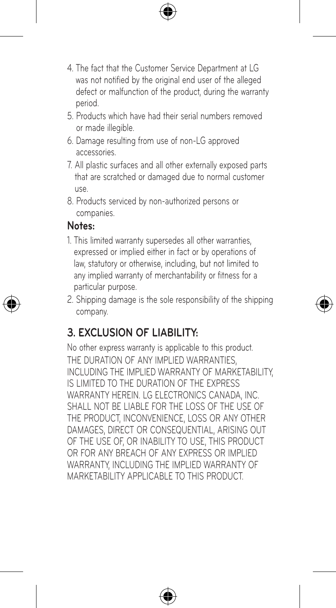- 4. The fact that the Customer Service Department at LG was not notified by the original end user of the alleged defect or malfunction of the product, during the warranty period.
- 5. Products which have had their serial numbers removed or made illegible.
- 6. Damage resulting from use of non-LG approved accessories.
- 7. All plastic surfaces and all other externally exposed parts that are scratched or damaged due to normal customer use.
- 8. Products serviced by non-authorized persons or companies.

### **Notes:**

- 1. This limited warranty supersedes all other warranties, expressed or implied either in fact or by operations of law, statutory or otherwise, including, but not limited to any implied warranty of merchantability or fitness for a particular purpose.
- 2. Shipping damage is the sole responsibility of the shipping company.

## **3. EXCLUSION OF LIABILITY:**

No other express warranty is applicable to this product. THE DURATION OF ANY IMPLIED WARRANTIES. INCLUDING THE IMPLIED WARRANTY OF MARKETABILITY IS LIMITED TO THE DURATION OF THE EXPRESS WARRANTY HEREIN. LG ELECTRONICS CANADA, INC. SHALL NOT BE LIABLE FOR THE LOSS OF THE LISE OF THE PRODUCT, INCONVENIENCE, LOSS OR ANY OTHER DAMAGES, DIRECT OR CONSEQUENTIAL, ARISING OUT OF THE USE OF, OR INABILITY TO USE, THIS PRODUCT OR FOR ANY BREACH OF ANY EXPRESS OR IMPLIED WARRANTY, INCLUDING THE IMPLIED WARRANTY OF MARKETABILITY APPLICABLE TO THIS PRODUCT.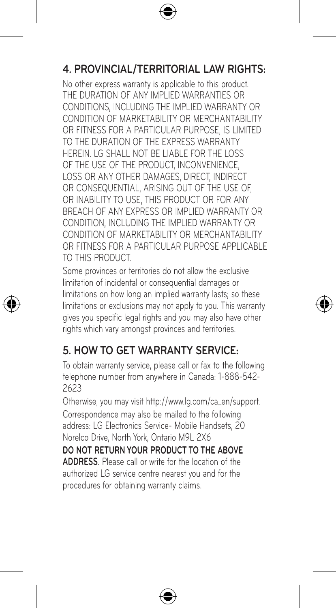## **4. PROVINCIAL/TERRITORIAL LAW RIGHTS:**

No other express warranty is applicable to this product. THE DURATION OF ANY IMPLIED WARRANTIES OR CONDITIONS, INCLUDING THE IMPLIED WARRANTY OR CONDITION OF MARKETABILITY OR MERCHANTABILITY OR FITNESS FOR A PARTICULAR PURPOSE, IS LIMITED. TO THE DURATION OF THE EXPRESS WARRANTY HEREIN. LG SHALL NOT BE LIABLE FOR THE LOSS OF THE USE OF THE PRODUCT, INCONVENIENCE, LOSS OR ANY OTHER DAMAGES, DIRECT, INDIRECT OR CONSEQUENTIAL, ARISING OUT OF THE USE OF, OR INABILITY TO LISE. THIS PRODUCT OR FOR ANY BREACH OF ANY EXPRESS OR IMPLIED WARRANTY OR CONDITION, INCLUDING THE IMPLIED WARRANTY OR CONDITION OF MARKETABILITY OR MERCHANTABILITY OR FITNESS FOR A PARTICULAR PURPOSE APPLICABLE TO THIS PRODUCT.

Some provinces or territories do not allow the exclusive limitation of incidental or consequential damages or limitations on how long an implied warranty lasts; so these limitations or exclusions may not apply to you. This warranty gives you specific legal rights and you may also have other rights which vary amongst provinces and territories.

## **5. HOW TO GET WARRANTY SERVICE:**

To obtain warranty service, please call or fax to the following telephone number from anywhere in Canada: 1-888-542- 2623

Otherwise, you may visit http://www.lg.com/ca\_en/support. Correspondence may also be mailed to the following address: LG Electronics Service- Mobile Handsets, 20 Norelco Drive, North York, Ontario M9L 2X6

**DO NOT RETURN YOUR PRODUCT TO THE ABOVE ADDRESS**. Please call or write for the location of the authorized LG service centre nearest you and for the procedures for obtaining warranty claims.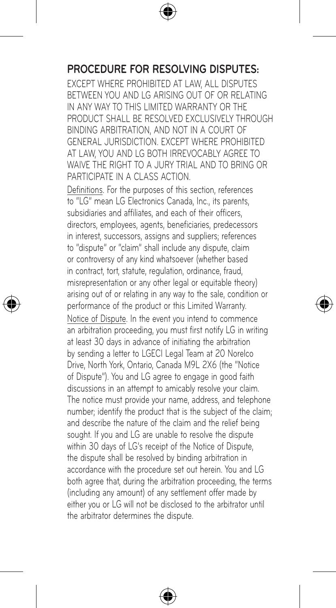### **PROCEDURE FOR RESOLVING DISPUTES:**

EXCEPT WHERE PROHIBITED AT LAW, ALL DISPUTES BETWEEN YOU AND LG ARISING OUT OF OR RELATING IN ANY WAY TO THIS LIMITED WARRANTY OR THE PRODUCT SHALL BE RESOLVED EXCLUSIVELY THROUGH BINDING ARBITRATION, AND NOT IN A COURT OF GENERAL JURISDICTION. EXCEPT WHERE PROHIBITED AT LAW, YOU AND LG BOTH IRREVOCABLY AGREE TO WAIVE THE RIGHT TO A JURY TRIAL AND TO BRING OR PARTICIPATE IN A CLASS ACTION.

Definitions. For the purposes of this section, references to "LG" mean LG Electronics Canada, Inc., its parents, subsidiaries and affiliates, and each of their officers, directors, employees, agents, beneficiaries, predecessors in interest, successors, assigns and suppliers; references to "dispute" or "claim" shall include any dispute, claim or controversy of any kind whatsoever (whether based in contract, tort, statute, regulation, ordinance, fraud, misrepresentation or any other legal or equitable theory) arising out of or relating in any way to the sale, condition or performance of the product or this Limited Warranty.

Notice of Dispute. In the event you intend to commence an arbitration proceeding, you must first notify LG in writing at least 30 days in advance of initiating the arbitration by sending a letter to LGECI Legal Team at 20 Norelco Drive, North York, Ontario, Canada M9L 2X6 (the "Notice of Dispute"). You and LG agree to engage in good faith discussions in an attempt to amicably resolve your claim. The notice must provide your name, address, and telephone number; identify the product that is the subject of the claim; and describe the nature of the claim and the relief being sought. If you and LG are unable to resolve the dispute within 30 days of LG's receipt of the Notice of Dispute. the dispute shall be resolved by binding arbitration in accordance with the procedure set out herein. You and LG both agree that, during the arbitration proceeding, the terms (including any amount) of any settlement offer made by either you or LG will not be disclosed to the arbitrator until the arbitrator determines the dispute.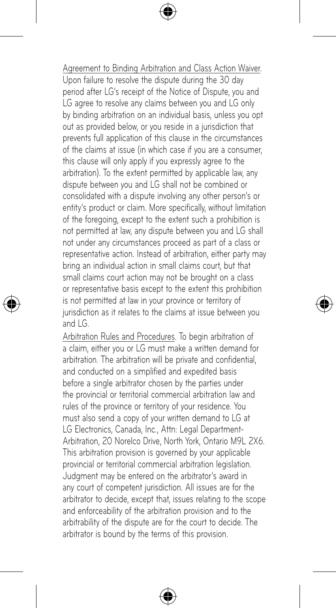#### Agreement to Binding Arbitration and Class Action Waiver.

Upon failure to resolve the dispute during the 30 day period after LG's receipt of the Notice of Dispute, you and LG agree to resolve any claims between you and LG only by binding arbitration on an individual basis, unless you opt out as provided below, or you reside in a jurisdiction that prevents full application of this clause in the circumstances of the claims at issue (in which case if you are a consumer, this clause will only apply if you expressly agree to the arbitration). To the extent permitted by applicable law, any dispute between you and LG shall not be combined or consolidated with a dispute involving any other person's or entity's product or claim. More specifically, without limitation of the foregoing, except to the extent such a prohibition is not permitted at law, any dispute between you and LG shall not under any circumstances proceed as part of a class or representative action. Instead of arbitration, either party may bring an individual action in small claims court, but that small claims court action may not be brought on a class or representative basis except to the extent this prohibition is not permitted at law in your province or territory of jurisdiction as it relates to the claims at issue between you and LG.

Arbitration Rules and Procedures. To begin arbitration of a claim, either you or LG must make a written demand for arbitration. The arbitration will be private and confidential, and conducted on a simplified and expedited basis before a single arbitrator chosen by the parties under the provincial or territorial commercial arbitration law and rules of the province or territory of your residence. You must also send a copy of your written demand to LG at LG Electronics, Canada, Inc., Attn: Legal Department-Arbitration, 20 Norelco Drive, North York, Ontario M9L 2X6. This arbitration provision is governed by your applicable provincial or territorial commercial arbitration legislation. Judgment may be entered on the arbitrator's award in any court of competent jurisdiction. All issues are for the arbitrator to decide, except that, issues relating to the scope and enforceability of the arbitration provision and to the arbitrability of the dispute are for the court to decide. The arbitrator is bound by the terms of this provision.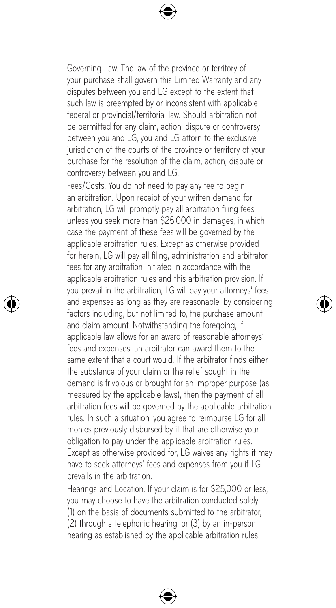Governing Law. The law of the province or territory of your purchase shall govern this Limited Warranty and any disputes between you and LG except to the extent that such law is preempted by or inconsistent with applicable federal or provincial/territorial law. Should arbitration not be permitted for any claim, action, dispute or controversy between you and LG, you and LG attorn to the exclusive jurisdiction of the courts of the province or territory of your purchase for the resolution of the claim, action, dispute or controversy between you and LG.

Fees/Costs. You do not need to pay any fee to begin an arbitration. Upon receipt of your written demand for arbitration, LG will promptly pay all arbitration filing fees unless you seek more than \$25,000 in damages, in which case the payment of these fees will be governed by the applicable arbitration rules. Except as otherwise provided for herein, LG will pay all filing, administration and arbitrator fees for any arbitration initiated in accordance with the applicable arbitration rules and this arbitration provision. If you prevail in the arbitration, LG will pay your attorneys' fees and expenses as long as they are reasonable, by considering factors including, but not limited to, the purchase amount and claim amount. Notwithstanding the foregoing, if applicable law allows for an award of reasonable attorneys' fees and expenses, an arbitrator can award them to the same extent that a court would. If the arbitrator finds either the substance of your claim or the relief sought in the demand is frivolous or brought for an improper purpose (as measured by the applicable laws), then the payment of all arbitration fees will be governed by the applicable arbitration rules. In such a situation, you agree to reimburse LG for all monies previously disbursed by it that are otherwise your obligation to pay under the applicable arbitration rules. Except as otherwise provided for, LG waives any rights it may have to seek attorneys' fees and expenses from you if LG prevails in the arbitration.

.<br>Hearings and Location. If your claim is for \$25,000 or less. you may choose to have the arbitration conducted solely (1) on the basis of documents submitted to the arbitrator, (2) through a telephonic hearing, or (3) by an in-person hearing as established by the applicable arbitration rules.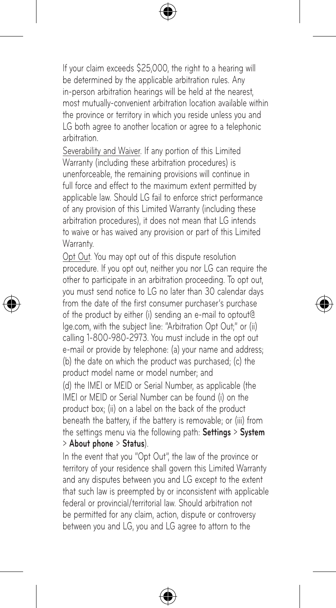If your claim exceeds \$25,000, the right to a hearing will be determined by the applicable arbitration rules. Any in-person arbitration hearings will be held at the nearest, most mutually-convenient arbitration location available within the province or territory in which you reside unless you and LG both agree to another location or agree to a telephonic arbitration.

Severability and Waiver. If any portion of this Limited Warranty (including these arbitration procedures) is unenforceable, the remaining provisions will continue in full force and effect to the maximum extent permitted by applicable law. Should LG fail to enforce strict performance of any provision of this Limited Warranty (including these arbitration procedures), it does not mean that LG intends to waive or has waived any provision or part of this Limited Warranty.

Opt Out. You may opt out of this dispute resolution procedure. If you opt out, neither you nor LG can require the other to participate in an arbitration proceeding. To opt out, you must send notice to LG no later than 30 calendar days from the date of the first consumer purchaser's purchase of the product by either (i) sending an e-mail to optout@ lge.com, with the subject line: "Arbitration Opt Out;" or (ii) calling 1-800-980-2973. You must include in the opt out e-mail or provide by telephone: (a) your name and address; (b) the date on which the product was purchased; (c) the product model name or model number; and (d) the IMEI or MEID or Serial Number, as applicable (the IMEI or MEID or Serial Number can be found (i) on the product box; (ii) on a label on the back of the product beneath the battery, if the battery is removable; or (iii) from the settings menu via the following path: **Settings** > **System** > **About phone** > **Status**).

In the event that you "Opt Out", the law of the province or territory of your residence shall govern this Limited Warranty and any disputes between you and LG except to the extent that such law is preempted by or inconsistent with applicable federal or provincial/territorial law. Should arbitration not be permitted for any claim, action, dispute or controversy between you and LG, you and LG agree to attorn to the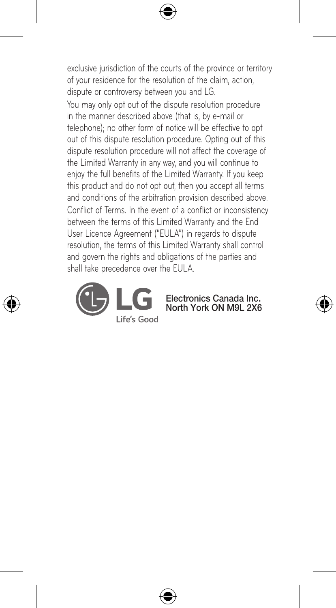exclusive jurisdiction of the courts of the province or territory of your residence for the resolution of the claim, action, dispute or controversy between you and LG.

You may only opt out of the dispute resolution procedure in the manner described above (that is, by e-mail or telephone); no other form of notice will be effective to opt out of this dispute resolution procedure. Opting out of this dispute resolution procedure will not affect the coverage of the Limited Warranty in any way, and you will continue to enjoy the full benefits of the Limited Warranty. If you keep this product and do not opt out, then you accept all terms and conditions of the arbitration provision described above. Conflict of Terms. In the event of a conflict or inconsistency between the terms of this Limited Warranty and the End User Licence Agreement ("EULA") in regards to dispute resolution, the terms of this Limited Warranty shall control and govern the rights and obligations of the parties and shall take precedence over the EULA.



Electronics Canada Inc. North York ON M9L 2X6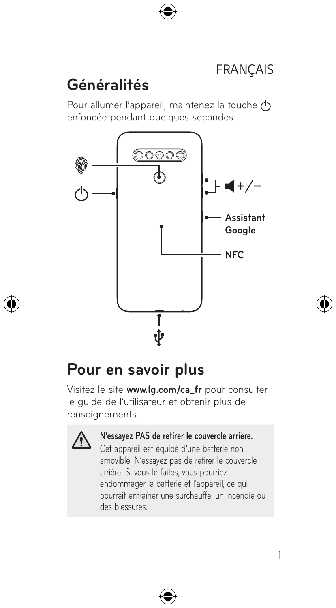## **Généralités**

Pour allumer l'appareil, maintenez la touche (h) enfoncée pendant quelques secondes.



## **Pour en savoir plus**

Visitez le site **www.lg.com/ca\_fr** pour consulter le guide de l'utilisateur et obtenir plus de renseignements.



#### **N'essayez PAS de retirer le couvercle arrière.**

Cet appareil est équipé d'une batterie non amovible. N'essayez pas de retirer le couvercle arrière. Si vous le faites, vous pourriez endommager la batterie et l'appareil, ce qui pourrait entraîner une surchauffe, un incendie ou des blessures.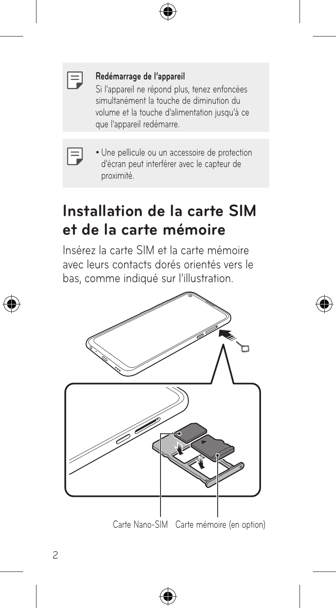|  | ___<br>ł |
|--|----------|

#### **Redémarrage de l'appareil**

Si l'appareil ne répond plus, tenez enfoncées simultanément la touche de diminution du volume et la touche d'alimentation jusqu'à ce que l'appareil redémarre.

• Une pellicule ou un accessoire de protection d'écran peut interférer avec le capteur de proximité.

## **Installation de la carte SIM et de la carte mémoire**

Insérez la carte SIM et la carte mémoire avec leurs contacts dorés orientés vers le bas, comme indiqué sur l'illustration.

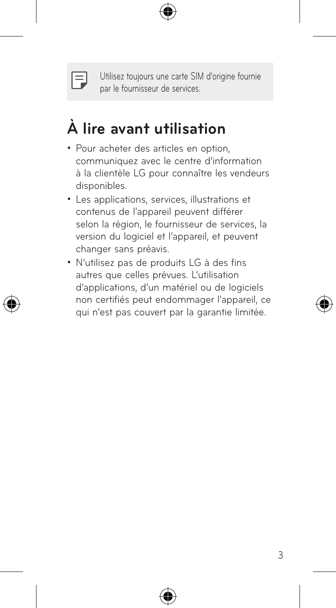

Utilisez toujours une carte SIM d'origine fournie par le fournisseur de services.

# **À lire avant utilisation**

- Pour acheter des articles en option, communiquez avec le centre d'information à la clientèle LG pour connaître les vendeurs disponibles.
- Les applications, services, illustrations et contenus de l'appareil peuvent différer selon la région, le fournisseur de services, la version du logiciel et l'appareil, et peuvent changer sans préavis.
- • N'utilisez pas de produits LG à des fins autres que celles prévues. L'utilisation d'applications, d'un matériel ou de logiciels non certifiés peut endommager l'appareil, ce qui n'est pas couvert par la garantie limitée.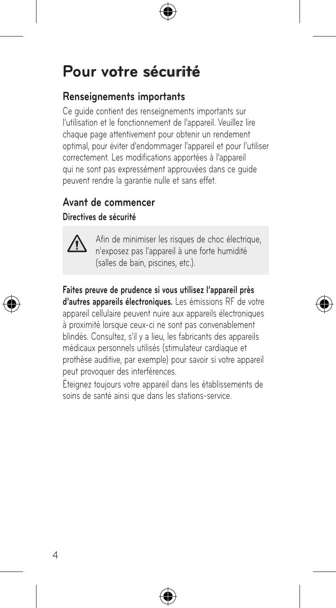# **Pour votre sécurité votre sécurité**

#### **Renseignements importants**

Ce guide contient des renseignements importants sur l'utilisation et le fonctionnement de l'appareil. Veuillez lire chaque page attentivement pour obtenir un rendement optimal, pour éviter d'endommager l'appareil et pour l'utiliser correctement. Les modifications apportées à l'appareil qui ne sont pas expressément approuvées dans ce guide peuvent rendre la garantie nulle et sans effet.

#### **Avant de commencer**

#### **Directives de sécurité**



Afin de minimiser les risques de choc électrique, n'exposez pas l'appareil à une forte humidité (salles de bain, piscines, etc.).

#### **Faites preuve de prudence si vous utilisez l'appareil près**

**d'autres appareils électroniques.** Les émissions RF de votre appareil cellulaire peuvent nuire aux appareils électroniques à proximité lorsque ceux-ci ne sont pas convenablement blindés. Consultez, s'il y a lieu, les fabricants des appareils médicaux personnels utilisés (stimulateur cardiaque et prothèse auditive, par exemple) pour savoir si votre appareil .<br>peut provoquer des interférences.

Éteignez toujours votre appareil dans les établissements de soins de santé ainsi que dans les stations-service.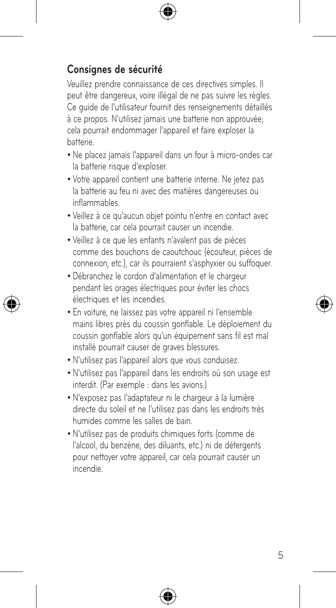### **Consignes de sécurité**

Veuillez prendre connaissance de ces directives simples. Il peut être dangereux, voire illégal de ne pas suivre les règles. Ce guide de l'utilisateur fournit des renseignements détaillés à ce propos. N'utilisez jamais une batterie non approuvée; cela pourrait endommager l'appareil et faire exploser la batterie.

- • Ne placez jamais l'appareil dans un four à micro-ondes car la batterie risque d'exploser.
- • Votre appareil contient une batterie interne. Ne jetez pas la batterie au feu ni avec des matières dangereuses ou inflammables.
- • Veillez à ce qu'aucun objet pointu n'entre en contact avec la batterie, car cela pourrait causer un incendie.
- • Veillez à ce que les enfants n'avalent pas de pièces comme des bouchons de caoutchouc (écouteur, pièces de connexion, etc.), car ils pourraient s'asphyxier ou suffoquer.
- • Débranchez le cordon d'alimentation et le chargeur pendant les orages électriques pour éviter les chocs électriques et les incendies.
- • En voiture, ne laissez pas votre appareil ni l'ensemble mains libres près du coussin gonflable. Le déploiement du coussin gonflable alors qu'un équipement sans fil est mal installé pourrait causer de graves blessures.
- • N'utilisez pas l'appareil alors que vous conduisez.
- • N'utilisez pas l'appareil dans les endroits où son usage est interdit. (Par exemple : dans les avions.)
- • N'exposez pas l'adaptateur ni le chargeur à la lumière directe du soleil et ne l'utilisez pas dans les endroits très humides comme les salles de bain.
- • N'utilisez pas de produits chimiques forts (comme de l'alcool, du benzène, des diluants, etc.) ni de détergents pour nettoyer votre appareil, car cela pourrait causer un incendie.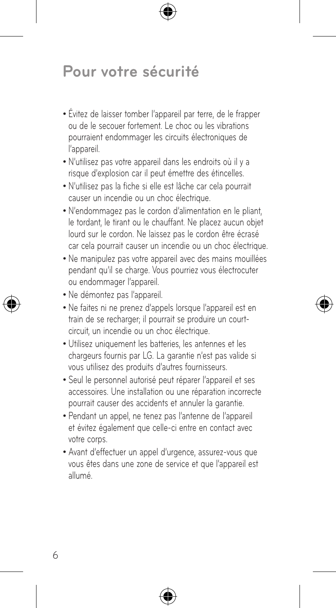## **Pour votre sécurité**

- • Évitez de laisser tomber l'appareil par terre, de le frapper ou de le secouer fortement. Le choc ou les vibrations pourraient endommager les circuits électroniques de l'appareil.
- • N'utilisez pas votre appareil dans les endroits où il y a risque d'explosion car il peut émettre des étincelles.
- • N'utilisez pas la fiche si elle est lâche car cela pourrait causer un incendie ou un choc électrique.
- • N'endommagez pas le cordon d'alimentation en le pliant, le tordant, le tirant ou le chauffant. Ne placez aucun objet lourd sur le cordon. Ne laissez pas le cordon être écrasé car cela pourrait causer un incendie ou un choc électrique.
- • Ne manipulez pas votre appareil avec des mains mouillées pendant qu'il se charge. Vous pourriez vous électrocuter ou endommager l'appareil.
- • Ne démontez pas l'appareil.
- • Ne faites ni ne prenez d'appels lorsque l'appareil est en train de se recharger; il pourrait se produire un courtcircuit, un incendie ou un choc électrique.
- • Utilisez uniquement les batteries, les antennes et les chargeurs fournis par LG. La garantie n'est pas valide si vous utilisez des produits d'autres fournisseurs.
- • Seul le personnel autorisé peut réparer l'appareil et ses accessoires. Une installation ou une réparation incorrecte pourrait causer des accidents et annuler la garantie.
- • Pendant un appel, ne tenez pas l'antenne de l'appareil et évitez également que celle-ci entre en contact avec votre corps.
- • Avant d'effectuer un appel d'urgence, assurez-vous que vous êtes dans une zone de service et que l'appareil est allumé.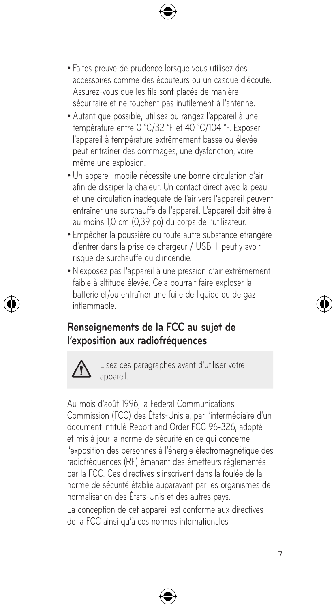- • Faites preuve de prudence lorsque vous utilisez des accessoires comme des écouteurs ou un casque d'écoute. Assurez-vous que les fils sont placés de manière sécuritaire et ne touchent pas inutilement à l'antenne.
- • Autant que possible, utilisez ou rangez l'appareil à une température entre 0 °C/32 °F et 40 °C/104 °F. Exposer l'appareil à température extrêmement basse ou élevée peut entraîner des dommages, une dysfonction, voire même une explosion.
- • Un appareil mobile nécessite une bonne circulation d'air afin de dissiper la chaleur. Un contact direct avec la peau et une circulation inadéquate de l'air vers l'appareil peuvent entraîner une surchauffe de l'appareil. L'appareil doit être à au moins 1,0 cm (0,39 po) du corps de l'utilisateur.
- • Empêcher la poussière ou toute autre substance étrangère d'entrer dans la prise de chargeur / USB. Il peut y avoir risque de surchauffe ou d'incendie.
- • N'exposez pas l'appareil à une pression d'air extrêmement faible à altitude élevée. Cela pourrait faire exploser la batterie et/ou entraîner une fuite de liquide ou de gaz inflammable.

### **Renseignements de la FCC au sujet de l'exposition aux radiofréquences**



Lisez ces paragraphes avant d'utiliser votre appareil.

Au mois d'août 1996, la Federal Communications Commission (FCC) des États-Unis a, par l'intermédiaire d'un document intitulé Report and Order FCC 96-326, adopté et mis à jour la norme de sécurité en ce qui concerne l'exposition des personnes à l'énergie électromagnétique des radiofréquences (RF) émanant des émetteurs réglementés par la FCC. Ces directives s'inscrivent dans la foulée de la norme de sécurité établie auparavant par les organismes de normalisation des États-Unis et des autres pays. La conception de cet appareil est conforme aux directives de la FCC ainsi qu'à ces normes internationales.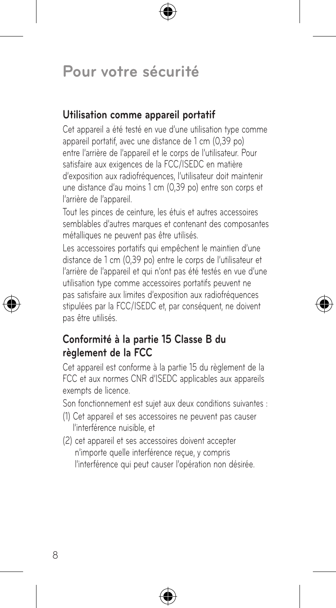## **Pour votre sécurité**

#### **Utilisation comme appareil portatif**

Cet appareil a été testé en vue d'une utilisation type comme appareil portatif, avec une distance de 1 cm (0,39 po) entre l'arrière de l'appareil et le corps de l'utilisateur. Pour satisfaire aux exigences de la FCC/ISEDC en matière d'exposition aux radiofréquences, l'utilisateur doit maintenir une distance d'au moins 1 cm (0,39 po) entre son corps et l'arrière de l'appareil.

Tout les pinces de ceinture, les étuis et autres accessoires semblables d'autres marques et contenant des composantes métalliques ne peuvent pas être utilisés.

Les accessoires portatifs qui empêchent le maintien d'une distance de 1 cm (0,39 po) entre le corps de l'utilisateur et l'arrière de l'appareil et qui n'ont pas été testés en vue d'une utilisation type comme accessoires portatifs peuvent ne pas satisfaire aux limites d'exposition aux radiofréquences stipulées par la FCC/ISEDC et, par conséquent, ne doivent pas être utilisés.

#### **Conformité à la partie 15 Classe B du règlement de la FCC**

Cet appareil est conforme à la partie 15 du règlement de la FCC et aux normes CNR d'ISEDC applicables aux appareils exempts de licence.

Son fonctionnement est sujet aux deux conditions suivantes :

- (1) Cet appareil et ses accessoires ne peuvent pas causer l'interférence nuisible, et
- (2) cet appareil et ses accessoires doivent accepter n'importe quelle interférence reçue, y compris l'interférence qui peut causer l'opération non désirée.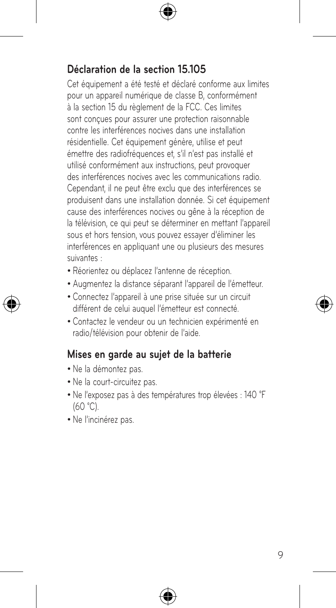### **Déclaration de la section 15.105**

Cet équipement a été testé et déclaré conforme aux limites pour un appareil numérique de classe B, conformément à la section 15 du règlement de la FCC. Ces limites sont conçues pour assurer une protection raisonnable contre les interférences nocives dans une installation résidentielle. Cet équipement génère, utilise et peut émettre des radiofréquences et, s'il n'est pas installé et utilisé conformément aux instructions, peut provoquer des interférences nocives avec les communications radio. Cependant, il ne peut être exclu que des interférences se produisent dans une installation donnée. Si cet équipement cause des interférences nocives ou gêne à la réception de la télévision, ce qui peut se déterminer en mettant l'appareil sous et hors tension, vous pouvez essayer d'éliminer les interférences en appliquant une ou plusieurs des mesures suivantes :

- • Réorientez ou déplacez l'antenne de réception.
- • Augmentez la distance séparant l'appareil de l'émetteur.
- • Connectez l'appareil à une prise située sur un circuit différent de celui auquel l'émetteur est connecté.
- • Contactez le vendeur ou un technicien expérimenté en radio/télévision pour obtenir de l'aide.

#### **Mises en garde au sujet de la batterie**

- • Ne la démontez pas.
- • Ne la court-circuitez pas.
- • Ne l'exposez pas à des températures trop élevées : 140 °F (60 °C).
- • Ne l'incinérez pas.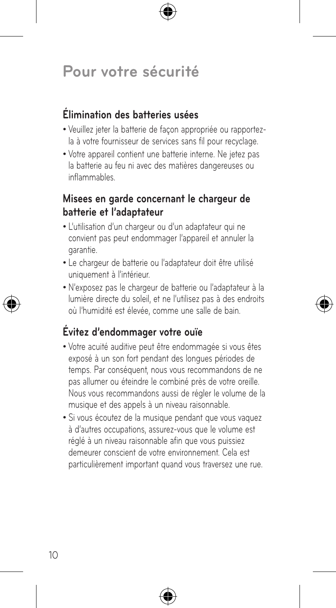## **Pour votre sécurité**

### **Élimination des batteries usées**

- • Veuillez jeter la batterie de façon appropriée ou rapportezla à votre fournisseur de services sans fil pour recyclage.
- • Votre appareil contient une batterie interne. Ne jetez pas la batterie au feu ni avec des matières dangereuses ou inflammables.

#### **Misees en garde concernant le chargeur de batterie et l'adaptateur**

- • L'utilisation d'un chargeur ou d'un adaptateur qui ne convient pas peut endommager l'appareil et annuler la garantie.
- • Le chargeur de batterie ou l'adaptateur doit être utilisé uniquement à l'intérieur.
- • N'exposez pas le chargeur de batterie ou l'adaptateur à la lumière directe du soleil, et ne l'utilisez pas à des endroits où l'humidité est élevée, comme une salle de bain.

### **Évitez d'endommager votre ouïe**

- • Votre acuité auditive peut être endommagée si vous êtes exposé à un son fort pendant des longues périodes de temps. Par conséquent, nous vous recommandons de ne pas allumer ou éteindre le combiné près de votre oreille. Nous vous recommandons aussi de régler le volume de la musique et des appels à un niveau raisonnable.
- • Si vous écoutez de la musique pendant que vous vaquez à d'autres occupations, assurez-vous que le volume est réglé à un niveau raisonnable afin que vous puissiez demeurer conscient de votre environnement. Cela est particulièrement important quand vous traversez une rue.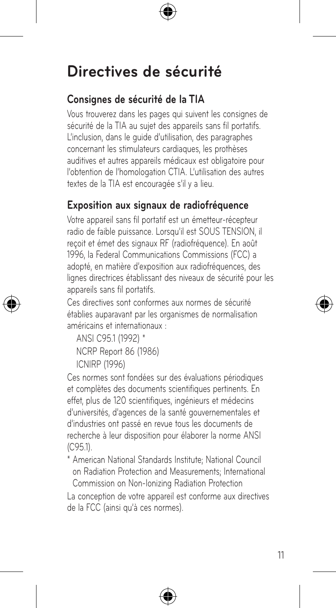## **Consignes de sécurité de la TIA**

Vous trouverez dans les pages qui suivent les consignes de sécurité de la TIA au sujet des appareils sans fil portatifs. L'inclusion, dans le guide d'utilisation, des paragraphes concernant les stimulateurs cardiaques, les prothèses auditives et autres appareils médicaux est obligatoire pour l'obtention de l'homologation CTIA. L'utilisation des autres textes de la TIA est encouragée s'il y a lieu.

### **Exposition aux signaux de radiofréquence**

Votre appareil sans fil portatif est un émetteur-récepteur radio de faible puissance. Lorsqu'il est SOUS TENSION, il reçoit et émet des signaux RF (radiofréquence). En août 1996, la Federal Communications Commissions (FCC) a adopté, en matière d'exposition aux radiofréquences, des lignes directrices établissant des niveaux de sécurité pour les appareils sans fil portatifs.

Ces directives sont conformes aux normes de sécurité établies auparavant par les organismes de normalisation américains et internationaux :

ANSI C95.1 (1992) \* NCRP Report 86 (1986) ICNIRP (1996)

Ces normes sont fondées sur des évaluations périodiques et complètes des documents scientifiques pertinents. En effet, plus de 120 scientifiques, ingénieurs et médecins d'universités, d'agences de la santé gouvernementales et d'industries ont passé en revue tous les documents de recherche à leur disposition pour élaborer la norme ANSI (C95.1).

\* American National Standards Institute; National Council on Radiation Protection and Measurements; International Commission on Non-Ionizing Radiation Protection

La conception de votre appareil est conforme aux directives de la FCC (ainsi qu'à ces normes).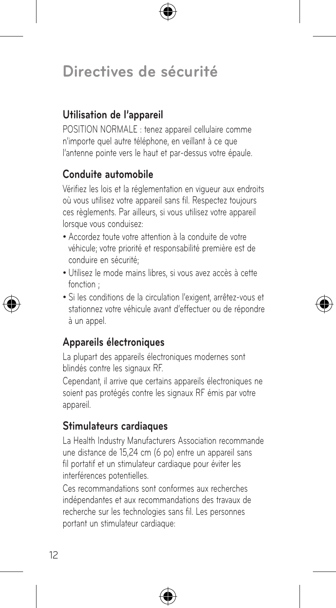### **Utilisation de l'appareil**

POSITION NORMALE : tenez appareil cellulaire comme n'importe quel autre téléphone, en veillant à ce que l'antenne pointe vers le haut et par-dessus votre épaule.

#### **Conduite automobile**

Vérifiez les lois et la réglementation en vigueur aux endroits où vous utilisez votre appareil sans fil. Respectez toujours ces règlements. Par ailleurs, si vous utilisez votre appareil lorsque vous conduisez:

- • Accordez toute votre attention à la conduite de votre véhicule; votre priorité et responsabilité première est de conduire en sécurité;
- • Utilisez le mode mains libres, si vous avez accès à cette fonction ;
- • Si les conditions de la circulation l'exigent, arrêtez-vous et stationnez votre véhicule avant d'effectuer ou de répondre à un appel.

#### **Appareils électroniques**

La plupart des appareils électroniques modernes sont blindés contre les signaux RF.

Cependant, il arrive que certains appareils électroniques ne soient pas protégés contre les signaux RF émis par votre appareil.

### **Stimulateurs cardiaques**

La Health Industry Manufacturers Association recommande une distance de 15,24 cm (6 po) entre un appareil sans fil portatif et un stimulateur cardiaque pour éviter les interférences potentielles.

Ces recommandations sont conformes aux recherches indépendantes et aux recommandations des travaux de recherche sur les technologies sans fil. Les personnes portant un stimulateur cardiaque: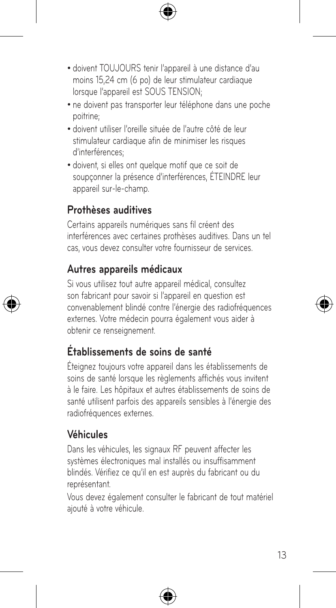- doivent TOUJOURS tenir l'appareil à une distance d'au moins 15,24 cm (6 po) de leur stimulateur cardiaque lorsque l'appareil est SOUS TENSION:
- ne doivent pas transporter leur téléphone dans une poche poitrine;
- • doivent utiliser l'oreille située de l'autre côté de leur stimulateur cardiaque afin de minimiser les risques d'interférences;
- • doivent, si elles ont quelque motif que ce soit de soupçonner la présence d'interférences, ÉTEINDRE leur appareil sur-le-champ.

### **Prothèses auditives**

Certains appareils numériques sans fil créent des interférences avec certaines prothèses auditives. Dans un tel cas, vous devez consulter votre fournisseur de services.

### **Autres appareils médicaux**

Si vous utilisez tout autre appareil médical, consultez son fabricant pour savoir si l'appareil en question est convenablement blindé contre l'énergie des radiofréquences externes. Votre médecin pourra également vous aider à obtenir ce renseignement.

## **Établissements de soins de santé**

Éteignez toujours votre appareil dans les établissements de soins de santé lorsque les règlements affichés vous invitent à le faire. Les hôpitaux et autres établissements de soins de santé utilisent parfois des appareils sensibles à l'énergie des radiofréquences externes.

## **Véhicules**

Dans les véhicules, les signaux RF peuvent affecter les systèmes électroniques mal installés ou insuffisamment blindés. Vérifiez ce qu'il en est auprès du fabricant ou du représentant.

Vous devez également consulter le fabricant de tout matériel ajouté à votre véhicule.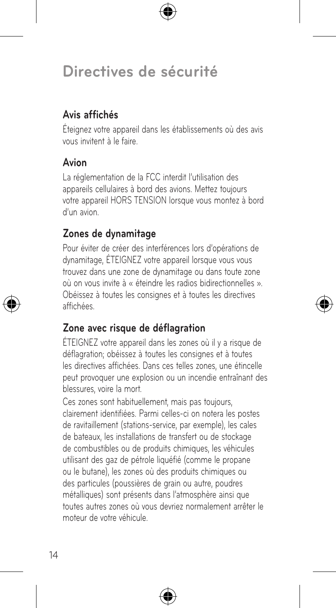### **Avis affichés**

Éteignez votre appareil dans les établissements où des avis vous invitent à le faire.

### **Avion**

La réglementation de la FCC interdit l'utilisation des appareils cellulaires à bord des avions. Mettez toujours votre appareil HORS TENSION lorsque vous montez à bord d'un avion.

### **Zones de dynamitage**

Pour éviter de créer des interférences lors d'opérations de dynamitage, ÉTEIGNEZ votre appareil lorsque vous vous trouvez dans une zone de dynamitage ou dans toute zone où on vous invite à « éteindre les radios bidirectionnelles ». Obéissez à toutes les consignes et à toutes les directives affichées.

### **Zone avec risque de déflagration**

ÉTEIGNEZ votre appareil dans les zones où il y a risque de déflagration; obéissez à toutes les consignes et à toutes les directives affichées. Dans ces telles zones, une étincelle peut provoquer une explosion ou un incendie entraînant des blessures, voire la mort.

Ces zones sont habituellement, mais pas toujours, clairement identifiées. Parmi celles-ci on notera les postes de ravitaillement (stations-service, par exemple), les cales de bateaux, les installations de transfert ou de stockage de combustibles ou de produits chimiques, les véhicules utilisant des gaz de pétrole liquéfié (comme le propane ou le butane), les zones où des produits chimiques ou des particules (poussières de grain ou autre, poudres métalliques) sont présents dans l'atmosphère ainsi que toutes autres zones où vous devriez normalement arrêter le moteur de votre véhicule.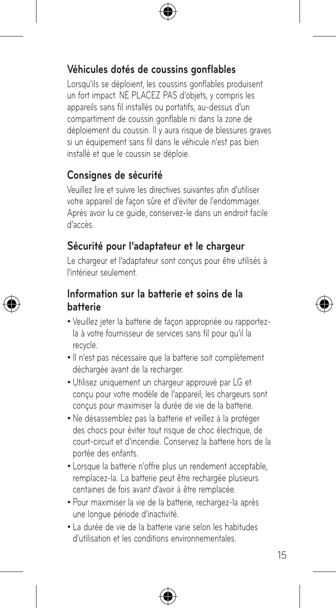### **Véhicules dotés de coussins gonflables**

Lorsqu'ils se déploient, les coussins gonflables produisent un fort impact. NE PLACEZ PAS d'objets, y compris les appareils sans fil installés ou portatifs, au-dessus d'un compartiment de coussin gonflable ni dans la zone de déploiement du coussin. Il y aura risque de blessures graves si un équipement sans fil dans le véhicule n'est pas bien installé et que le coussin se déploie.

#### **Consignes de sécurité**

Veuillez lire et suivre les directives suivantes afin d'utiliser votre appareil de façon sûre et d'éviter de l'endommager. Après avoir lu ce guide, conservez-le dans un endroit facile d'accès.

#### **Sécurité pour l'adaptateur et le chargeur**

Le chargeur et l'adaptateur sont concus pour être utilisés à l'intérieur seulement.

#### **Information sur la batterie et soins de la batterie**

- • Veuillez jeter la batterie de façon appropriée ou rapportezla à votre fournisseur de services sans fil pour qu'il la recycle.
- • Il n'est pas nécessaire que la batterie soit complètement déchargée avant de la recharger.
- • Utilisez uniquement un chargeur approuvé par LG et conçu pour votre modèle de l'appareil; les chargeurs sont conçus pour maximiser la durée de vie de la batterie.
- • Ne désassemblez pas la batterie et veillez à la protéger des chocs pour éviter tout risque de choc électrique, de court-circuit et d'incendie. Conservez la batterie hors de la portée des enfants.
- Lorsque la batterie n'offre plus un rendement acceptable. remplacez-la. La batterie peut être rechargée plusieurs centaines de fois avant d'avoir à être remplacée.
- • Pour maximiser la vie de la batterie, rechargez-la après une longue période d'inactivité.
- • La durée de vie de la batterie varie selon les habitudes d'utilisation et les conditions environnementales.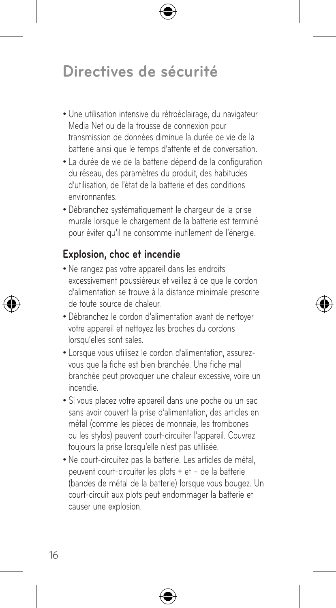- Une utilisation intensive du rétroéclairage, du navigateur Media Net ou de la trousse de connexion pour transmission de données diminue la durée de vie de la batterie ainsi que le temps d'attente et de conversation.
- • La durée de vie de la batterie dépend de la configuration du réseau, des paramètres du produit, des habitudes d'utilisation, de l'état de la batterie et des conditions environnantes.
- • Débranchez systématiquement le chargeur de la prise murale lorsque le chargement de la batterie est terminé pour éviter qu'il ne consomme inutilement de l'énergie.

#### **Explosion, choc et incendie**

- • Ne rangez pas votre appareil dans les endroits excessivement poussiéreux et veillez à ce que le cordon d'alimentation se trouve à la distance minimale prescrite de toute source de chaleur.
- Débranchez le cordon d'alimentation avant de nettoyer votre appareil et nettoyez les broches du cordons lorsqu'elles sont sales.
- Lorsque vous utilisez le cordon d'alimentation, assurezvous que la fiche est bien branchée. Une fiche mal branchée peut provoquer une chaleur excessive, voire un incendie.
- • Si vous placez votre appareil dans une poche ou un sac sans avoir couvert la prise d'alimentation, des articles en métal (comme les pièces de monnaie, les trombones ou les stylos) peuvent court-circuiter l'appareil. Couvrez toujours la prise lorsqu'elle n'est pas utilisée.
- • Ne court-circuitez pas la batterie. Les articles de métal, peuvent court-circuiter les plots + et – de la batterie (bandes de métal de la batterie) lorsque vous bougez. Un court-circuit aux plots peut endommager la batterie et causer une explosion.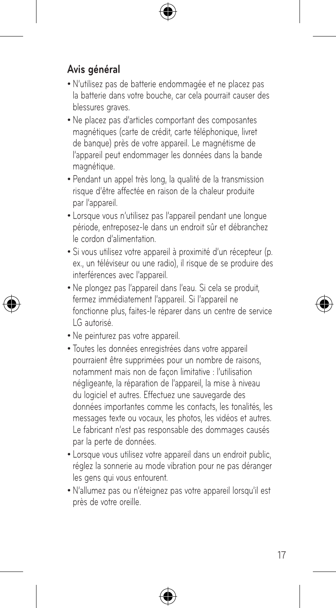## **Avis général**

- • N'utilisez pas de batterie endommagée et ne placez pas la batterie dans votre bouche, car cela pourrait causer des blessures graves.
- • Ne placez pas d'articles comportant des composantes magnétiques (carte de crédit, carte téléphonique, livret de banque) près de votre appareil. Le magnétisme de l'appareil peut endommager les données dans la bande magnétique.
- • Pendant un appel très long, la qualité de la transmission risque d'être affectée en raison de la chaleur produite par l'appareil.
- • Lorsque vous n'utilisez pas l'appareil pendant une longue période, entreposez-le dans un endroit sûr et débranchez le cordon d'alimentation.
- • Si vous utilisez votre appareil à proximité d'un récepteur (p. ex., un téléviseur ou une radio), il risque de se produire des interférences avec l'appareil.
- • Ne plongez pas l'appareil dans l'eau. Si cela se produit, fermez immédiatement l'appareil. Si l'appareil ne fonctionne plus, faites-le réparer dans un centre de service LG autorisé.
- • Ne peinturez pas votre appareil.
- • Toutes les données enregistrées dans votre appareil pourraient être supprimées pour un nombre de raisons, notamment mais non de façon limitative : l'utilisation négligeante, la réparation de l'appareil, la mise à niveau du logiciel et autres. Effectuez une sauvegarde des données importantes comme les contacts, les tonalités, les messages texte ou vocaux, les photos, les vidéos et autres. Le fabricant n'est pas responsable des dommages causés par la perte de données.
- Lorsque vous utilisez votre appareil dans un endroit public, réglez la sonnerie au mode vibration pour ne pas déranger les gens qui vous entourent.
- • N'allumez pas ou n'éteignez pas votre appareil lorsqu'il est près de votre oreille.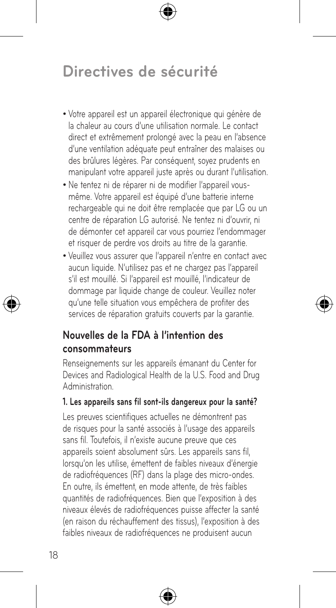- • Votre appareil est un appareil électronique qui génère de la chaleur au cours d'une utilisation normale. Le contact direct et extrêmement prolongé avec la peau en l'absence d'une ventilation adéquate peut entraîner des malaises ou des brûlures légères. Par conséquent, soyez prudents en manipulant votre appareil juste après ou durant l'utilisation.
- • Ne tentez ni de réparer ni de modifier l'appareil vousmême. Votre appareil est équipé d'une batterie interne rechargeable qui ne doit être remplacée que par LG ou un centre de réparation LG autorisé. Ne tentez ni d'ouvrir, ni de démonter cet appareil car vous pourriez l'endommager et risquer de perdre vos droits au titre de la garantie.
- • Veuillez vous assurer que l'appareil n'entre en contact avec aucun liquide. N'utilisez pas et ne chargez pas l'appareil s'il est mouillé. Si l'appareil est mouillé, l'indicateur de dommage par liquide change de couleur. Veuillez noter qu'une telle situation vous empêchera de profiter des services de réparation gratuits couverts par la garantie.

#### **Nouvelles de la FDA à l'intention des consommateurs**

Renseignements sur les appareils émanant du Center for Devices and Radiological Health de la U.S. Food and Drug Administration.

#### **1. Les appareils sans fil sont-ils dangereux pour la santé?**

Les preuves scientifiques actuelles ne démontrent pas de risques pour la santé associés à l'usage des appareils sans fil. Toutefois, il n'existe aucune preuve que ces appareils soient absolument sûrs. Les appareils sans fil, lorsqu'on les utilise, émettent de faibles niveaux d'énergie de radiofréquences (RF) dans la plage des micro-ondes. En outre, ils émettent, en mode attente, de très faibles quantités de radiofréquences. Bien que l'exposition à des niveaux élevés de radiofréquences puisse affecter la santé (en raison du réchauffement des tissus), l'exposition à des faibles niveaux de radiofréquences ne produisent aucun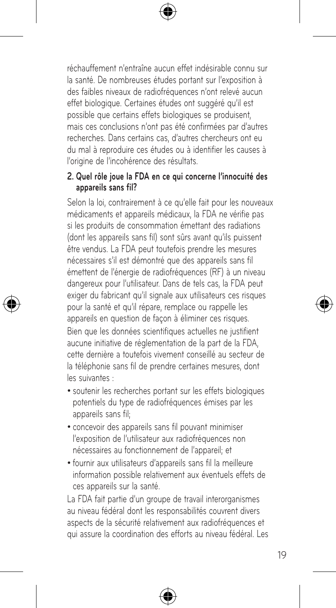réchauffement n'entraîne aucun effet indésirable connu sur la santé. De nombreuses études portant sur l'exposition à des faibles niveaux de radiofréquences n'ont relevé aucun effet biologique. Certaines études ont suggéré qu'il est possible que certains effets biologiques se produisent, mais ces conclusions n'ont pas été confirmées par d'autres recherches. Dans certains cas, d'autres chercheurs ont eu du mal à reproduire ces études ou à identifier les causes à l'origine de l'incohérence des résultats.

#### **2. Quel rôle joue la FDA en ce qui concerne l'innocuité des appareils sans fil?**

Selon la loi, contrairement à ce qu'elle fait pour les nouveaux médicaments et appareils médicaux, la FDA ne vérifie pas si les produits de consommation émettant des radiations (dont les appareils sans fil) sont sûrs avant qu'ils puissent être vendus. La FDA peut toutefois prendre les mesures nécessaires s'il est démontré que des appareils sans fil émettent de l'énergie de radiofréquences (RF) à un niveau dangereux pour l'utilisateur. Dans de tels cas, la FDA peut exiger du fabricant qu'il signale aux utilisateurs ces risques pour la santé et qu'il répare, remplace ou rappelle les appareils en question de façon à éliminer ces risques. Bien que les données scientifiques actuelles ne justifient aucune initiative de réglementation de la part de la FDA, cette dernière a toutefois vivement conseillé au secteur de la téléphonie sans fil de prendre certaines mesures, dont les suivantes :

- soutenir les recherches portant sur les effets biologiques potentiels du type de radiofréquences émises par les appareils sans fil;
- • concevoir des appareils sans fil pouvant minimiser l'exposition de l'utilisateur aux radiofréquences non nécessaires au fonctionnement de l'appareil; et
- • fournir aux utilisateurs d'appareils sans fil la meilleure information possible relativement aux éventuels effets de ces appareils sur la santé.

La FDA fait partie d'un groupe de travail interorganismes au niveau fédéral dont les responsabilités couvrent divers aspects de la sécurité relativement aux radiofréquences et qui assure la coordination des efforts au niveau fédéral. Les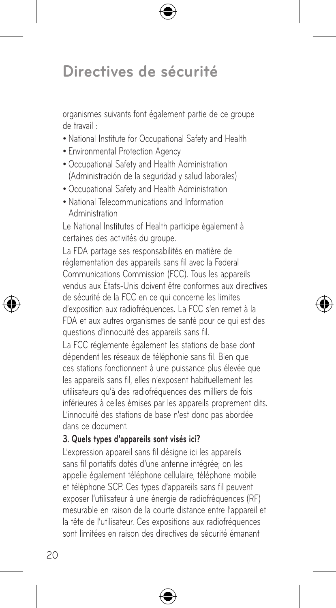organismes suivants font également partie de ce groupe de travail :

- • National Institute for Occupational Safety and Health
- • Environmental Protection Agency
- • Occupational Safety and Health Administration (Administración de la seguridad y salud laborales)
- • Occupational Safety and Health Administration
- • National Telecommunications and Information Administration

Le National Institutes of Health participe également à certaines des activités du groupe.

La FDA partage ses responsabilités en matière de réglementation des appareils sans fil avec la Federal Communications Commission (FCC). Tous les appareils vendus aux États-Unis doivent être conformes aux directives de sécurité de la FCC en ce qui concerne les limites d'exposition aux radiofréquences. La FCC s'en remet à la FDA et aux autres organismes de santé pour ce qui est des questions d'innocuité des appareils sans fil.

La FCC réglemente également les stations de base dont dépendent les réseaux de téléphonie sans fil. Bien que ces stations fonctionnent à une puissance plus élevée que les appareils sans fil, elles n'exposent habituellement les utilisateurs qu'à des radiofréquences des milliers de fois inférieures à celles émises par les appareils proprement dits. L'innocuité des stations de base n'est donc pas abordée dans ce document.

#### **3. Quels types d'appareils sont visés ici?**

L'expression appareil sans fil désigne ici les appareils sans fil portatifs dotés d'une antenne intégrée; on les appelle également téléphone cellulaire, téléphone mobile et téléphone SCP. Ces types d'appareils sans fil peuvent exposer l'utilisateur à une énergie de radiofréquences (RF) mesurable en raison de la courte distance entre l'appareil et la tête de l'utilisateur. Ces expositions aux radiofréquences sont limitées en raison des directives de sécurité émanant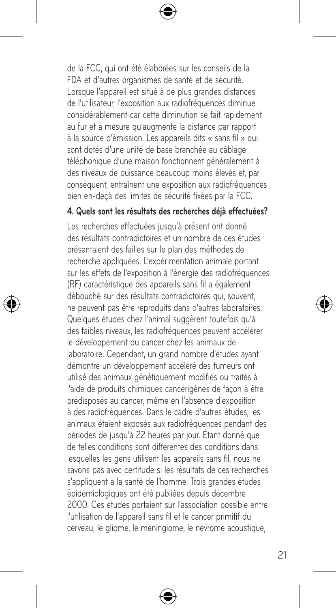de la FCC, qui ont été élaborées sur les conseils de la FDA et d'autres organismes de santé et de sécurité. Lorsque l'appareil est situé à de plus grandes distances de l'utilisateur, l'exposition aux radiofréquences diminue considérablement car cette diminution se fait rapidement au fur et à mesure qu'augmente la distance par rapport à la source d'émission. Les appareils dits « sans fil » qui sont dotés d'une unité de base branchée au câblage téléphonique d'une maison fonctionnent généralement à des niveaux de puissance beaucoup moins élevés et, par conséquent, entraînent une exposition aux radiofréquences bien en-deçà des limites de sécurité fixées par la FCC.

#### **4. Quels sont les résultats des recherches déjà effectuées?**

Les recherches effectuées jusqu'à présent ont donné des résultats contradictoires et un nombre de ces études présentaient des failles sur le plan des méthodes de recherche appliquées. L'expérimentation animale portant sur les effets de l'exposition à l'énergie des radiofréquences (RF) caractéristique des appareils sans fil a également débouché sur des résultats contradictoires qui, souvent, ne peuvent pas être reproduits dans d'autres laboratoires. Quelques études chez l'animal suggèrent toutefois qu'à des faibles niveaux, les radiofréquences peuvent accélérer le développement du cancer chez les animaux de laboratoire. Cependant, un grand nombre d'études ayant démontré un développement accéléré des tumeurs ont utilisé des animaux génétiquement modifiés ou traités à l'aide de produits chimiques cancérigènes de façon à être prédisposés au cancer, même en l'absence d'exposition à des radiofréquences. Dans le cadre d'autres études, les animaux étaient exposés aux radiofréquences pendant des périodes de jusqu'à 22 heures par jour. Étant donné que de telles conditions sont différentes des conditions dans lesquelles les gens utilisent les appareils sans fil, nous ne savons pas avec certitude si les résultats de ces recherches s'appliquent à la santé de l'homme. Trois grandes études épidémiologiques ont été publiées depuis décembre 2000. Ces études portaient sur l'association possible entre l'utilisation de l'appareil sans fil et le cancer primitif du cerveau, le gliome, le méningiome, le névrome acoustique,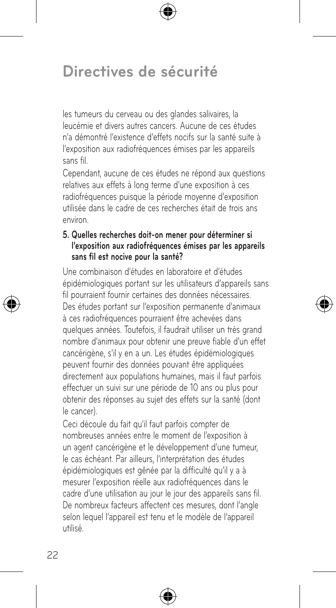les tumeurs du cerveau ou des glandes salivaires, la leucémie et divers autres cancers. Aucune de ces études n'a démontré l'existence d'effets nocifs sur la santé suite à l'exposition aux radiofréquences émises par les appareils sans fil.

Cependant, aucune de ces études ne répond aux questions relatives aux effets à long terme d'une exposition à ces radiofréquences puisque la période moyenne d'exposition utilisée dans le cadre de ces recherches était de trois ans environ.

#### **5. Quelles recherches doit-on mener pour déterminer si l'exposition aux radiofréquences émises par les appareils sans fil est nocive pour la santé?**

Une combinaison d'études en laboratoire et d'études épidémiologiques portant sur les utilisateurs d'appareils sans fil pourraient fournir certaines des données nécessaires. Des études portant sur l'exposition permanente d'animaux à ces radiofréquences pourraient être achevées dans quelques années. Toutefois, il faudrait utiliser un très grand nombre d'animaux pour obtenir une preuve fiable d'un effet cancérigène, s'il y en a un. Les études épidémiologiques peuvent fournir des données pouvant être appliquées directement aux populations humaines, mais il faut parfois effectuer un suivi sur une période de 10 ans ou plus pour obtenir des réponses au sujet des effets sur la santé (dont le cancer).

Ceci découle du fait qu'il faut parfois compter de nombreuses années entre le moment de l'exposition à un agent cancérigène et le développement d'une tumeur, le cas échéant. Par ailleurs, l'interprétation des études épidémiologiques est gênée par la difficulté qu'il y a à mesurer l'exposition réelle aux radiofréquences dans le cadre d'une utilisation au jour le jour des appareils sans fil. De nombreux facteurs affectent ces mesures, dont l'angle selon lequel l'appareil est tenu et le modèle de l'appareil utilisé.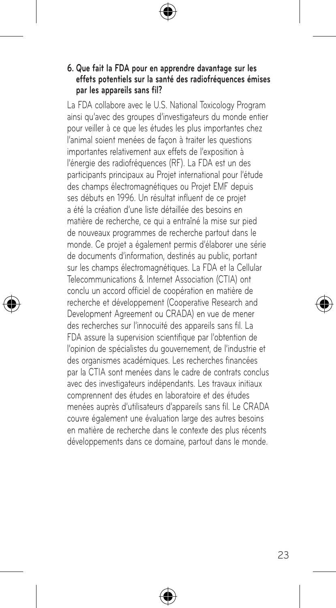#### **6. Que fait la FDA pour en apprendre davantage sur les effets potentiels sur la santé des radiofréquences émises par les appareils sans fil?**

La FDA collabore avec le U.S. National Toxicology Program ainsi qu'avec des groupes d'investigateurs du monde entier pour veiller à ce que les études les plus importantes chez l'animal soient menées de façon à traiter les questions importantes relativement aux effets de l'exposition à l'énergie des radiofréquences (RF). La FDA est un des participants principaux au Projet international pour l'étude des champs électromagnétiques ou Projet EMF depuis ses débuts en 1996. Un résultat influent de ce projet a été la création d'une liste détaillée des besoins en matière de recherche, ce qui a entraîné la mise sur pied de nouveaux programmes de recherche partout dans le monde. Ce projet a également permis d'élaborer une série de documents d'information, destinés au public, portant sur les champs électromagnétiques. La FDA et la Cellular Telecommunications & Internet Association (CTIA) ont conclu un accord officiel de coopération en matière de recherche et développement (Cooperative Research and Development Agreement ou CRADA) en vue de mener des recherches sur l'innocuité des appareils sans fil. La FDA assure la supervision scientifique par l'obtention de l'opinion de spécialistes du gouvernement, de l'industrie et des organismes académiques. Les recherches financées par la CTIA sont menées dans le cadre de contrats conclus avec des investigateurs indépendants. Les travaux initiaux comprennent des études en laboratoire et des études menées auprès d'utilisateurs d'appareils sans fil. Le CRADA couvre également une évaluation large des autres besoins en matière de recherche dans le contexte des plus récents développements dans ce domaine, partout dans le monde.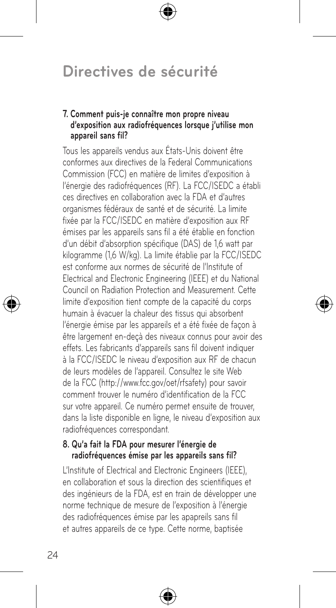#### **7. Comment puis-je connaître mon propre niveau d'exposition aux radiofréquences lorsque j'utilise mon appareil sans fil?**

Tous les appareils vendus aux États-Unis doivent être conformes aux directives de la Federal Communications Commission (FCC) en matière de limites d'exposition à l'énergie des radiofréquences (RF). La FCC/ISEDC a établi ces directives en collaboration avec la FDA et d'autres organismes fédéraux de santé et de sécurité. La limite fixée par la FCC/ISEDC en matière d'exposition aux RF émises par les appareils sans fil a été établie en fonction d'un débit d'absorption spécifique (DAS) de 1,6 watt par kilogramme (1,6 W/kg). La limite établie par la FCC/ISEDC est conforme aux normes de sécurité de l'Institute of Electrical and Electronic Engineering (IEEE) et du National Council on Radiation Protection and Measurement. Cette limite d'exposition tient compte de la capacité du corps humain à évacuer la chaleur des tissus qui absorbent l'énergie émise par les appareils et a été fixée de façon à être largement en-deçà des niveaux connus pour avoir des effets. Les fabricants d'appareils sans fil doivent indiquer à la FCC/ISEDC le niveau d'exposition aux RF de chacun de leurs modèles de l'appareil. Consultez le site Web de la FCC (http://www.fcc.gov/oet/rfsafety) pour savoir comment trouver le numéro d'identification de la FCC sur votre appareil. Ce numéro permet ensuite de trouver, dans la liste disponible en ligne, le niveau d'exposition aux radiofréquences correspondant.

#### **8. Qu'a fait la FDA pour mesurer l'énergie de radiofréquences émise par les appareils sans fil?**

L'Institute of Electrical and Electronic Engineers (IEEE), en collaboration et sous la direction des scientifiques et des ingénieurs de la FDA, est en train de développer une norme technique de mesure de l'exposition à l'énergie des radiofréquences émise par les apapreils sans fil et autres appareils de ce type. Cette norme, baptisée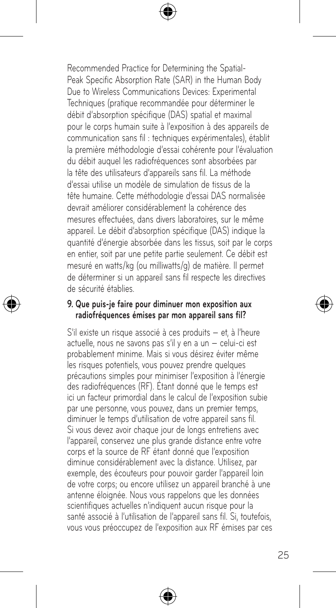Recommended Practice for Determining the Spatial-Peak Specific Absorption Rate (SAR) in the Human Body Due to Wireless Communications Devices: Experimental Techniques (pratique recommandée pour déterminer le débit d'absorption spécifique (DAS) spatial et maximal pour le corps humain suite à l'exposition à des appareils de communication sans fil : techniques expérimentales), établit la première méthodologie d'essai cohérente pour l'évaluation du débit auquel les radiofréquences sont absorbées par la tête des utilisateurs d'appareils sans fil. La méthode d'essai utilise un modèle de simulation de tissus de la tête humaine. Cette méthodologie d'essai DAS normalisée devrait améliorer considérablement la cohérence des mesures effectuées, dans divers laboratoires, sur le même appareil. Le débit d'absorption spécifique (DAS) indique la quantité d'énergie absorbée dans les tissus, soit par le corps en entier, soit par une petite partie seulement. Ce débit est mesuré en watts/kg (ou milliwatts/g) de matière. Il permet de déterminer si un appareil sans fil respecte les directives de sécurité établies.

#### **9. Que puis-je faire pour diminuer mon exposition aux radiofréquences émises par mon appareil sans fil?**

S'il existe un risque associé à ces produits — et, à l'heure actuelle, nous ne savons pas s'il y en a un — celui-ci est probablement minime. Mais si vous désirez éviter même les risques potentiels, vous pouvez prendre quelques précautions simples pour minimiser l'exposition à l'énergie des radiofréquences (RF). Étant donné que le temps est ici un facteur primordial dans le calcul de l'exposition subie par une personne, vous pouvez, dans un premier temps, diminuer le temps d'utilisation de votre appareil sans fil. Si vous devez avoir chaque jour de longs entretiens avec l'appareil, conservez une plus grande distance entre votre corps et la source de RF étant donné que l'exposition diminue considérablement avec la distance. Utilisez, par exemple, des écouteurs pour pouvoir garder l'appareil loin de votre corps; ou encore utilisez un appareil branché à une antenne éloignée. Nous vous rappelons que les données scientifiques actuelles n'indiquent aucun risque pour la santé associé à l'utilisation de l'appareil sans fil. Si, toutefois, vous vous préoccupez de l'exposition aux RF émises par ces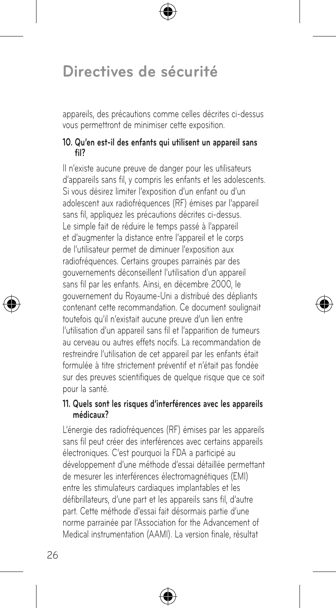appareils, des précautions comme celles décrites ci-dessus vous permettront de minimiser cette exposition.

#### **10. Qu'en est-il des enfants qui utilisent un appareil sans fil?**

Il n'existe aucune preuve de danger pour les utilisateurs d'appareils sans fil, y compris les enfants et les adolescents. Si vous désirez limiter l'exposition d'un enfant ou d'un adolescent aux radiofréquences (RF) émises par l'appareil sans fil, appliquez les précautions décrites ci-dessus. Le simple fait de réduire le temps passé à l'appareil et d'augmenter la distance entre l'appareil et le corps de l'utilisateur permet de diminuer l'exposition aux radiofréquences. Certains groupes parrainés par des gouvernements déconseillent l'utilisation d'un appareil sans fil par les enfants. Ainsi, en décembre 2000, le gouvernement du Royaume-Uni a distribué des dépliants contenant cette recommandation. Ce document soulignait toutefois qu'il n'existait aucune preuve d'un lien entre l'utilisation d'un appareil sans fil et l'apparition de tumeurs au cerveau ou autres effets nocifs. La recommandation de restreindre l'utilisation de cet appareil par les enfants était formulée à titre strictement préventif et n'était pas fondée sur des preuves scientifiques de quelque risque que ce soit pour la santé.

#### **11. Quels sont les risques d'interférences avec les appareils médicaux?**

L'énergie des radiofréquences (RF) émises par les appareils sans fil peut créer des interférences avec certains appareils électroniques. C'est pourquoi la FDA a participé au développement d'une méthode d'essai détaillée permettant de mesurer les interférences électromagnétiques (EMI) entre les stimulateurs cardiaques implantables et les défibrillateurs, d'une part et les appareils sans fil, d'autre part. Cette méthode d'essai fait désormais partie d'une norme parrainée par l'Association for the Advancement of Medical instrumentation (AAMI). La version finale, résultat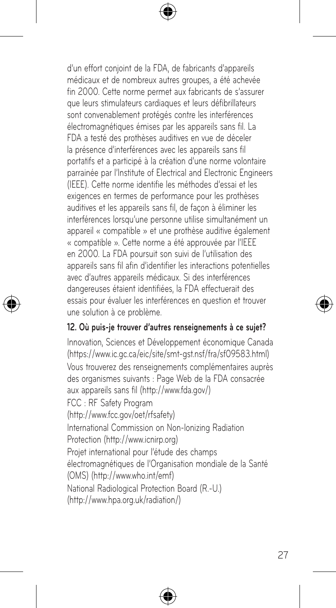d'un effort conjoint de la FDA, de fabricants d'appareils médicaux et de nombreux autres groupes, a été achevée fin 2000. Cette norme permet aux fabricants de s'assurer que leurs stimulateurs cardiaques et leurs défibrillateurs sont convenablement protégés contre les interférences électromagnétiques émises par les appareils sans fil. La FDA a testé des prothèses auditives en vue de déceler la présence d'interférences avec les appareils sans fil portatifs et a participé à la création d'une norme volontaire parrainée par l'Institute of Electrical and Electronic Engineers (IEEE). Cette norme identifie les méthodes d'essai et les exigences en termes de performance pour les prothèses auditives et les appareils sans fil, de façon à éliminer les interférences lorsqu'une personne utilise simultanément un appareil « compatible » et une prothèse auditive également « compatible ». Cette norme a été approuvée par l'IEEE en 2000. La FDA poursuit son suivi de l'utilisation des appareils sans fil afin d'identifier les interactions potentielles avec d'autres appareils médicaux. Si des interférences dangereuses étaient identifiées, la FDA effectuerait des essais pour évaluer les interférences en question et trouver une solution à ce problème.

#### **12. Où puis-je trouver d'autres renseignements à ce sujet?**

Innovation, Sciences et Développement économique Canada (https://www.ic.gc.ca/eic/site/smt-gst.nsf/fra/sf09583.html) Vous trouverez des renseignements complémentaires auprès des organismes suivants : Page Web de la FDA consacrée aux appareils sans fil (http://www.fda.gov/) FCC : RF Safety Program (http://www.fcc.gov/oet/rfsafety) International Commission on Non-lonizing Radiation Protection (http://www.icnirp.org) Projet international pour l'étude des champs électromagnétiques de l'Organisation mondiale de la Santé (OMS) (http://www.who.int/emf) National Radiological Protection Board (R.-U.) (http://www.hpa.org.uk/radiation/)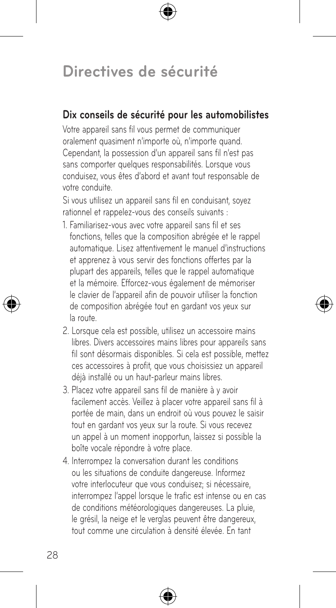#### **Dix conseils de sécurité pour les automobilistes**

Votre appareil sans fil vous permet de communiquer oralement quasiment n'importe où, n'importe quand. Cependant, la possession d'un appareil sans fil n'est pas sans comporter quelques responsabilités. Lorsque vous conduisez, vous êtes d'abord et avant tout responsable de votre conduite.

Si vous utilisez un appareil sans fil en conduisant, soyez rationnel et rappelez-vous des conseils suivants :

- 1. Familiarisez-vous avec votre appareil sans fil et ses fonctions, telles que la composition abrégée et le rappel automatique. Lisez attentivement le manuel d'instructions et apprenez à vous servir des fonctions offertes par la plupart des appareils, telles que le rappel automatique et la mémoire. Efforcez-vous également de mémoriser le clavier de l'appareil afin de pouvoir utiliser la fonction de composition abrégée tout en gardant vos yeux sur la route.
- 2. Lorsque cela est possible, utilisez un accessoire mains libres. Divers accessoires mains libres pour appareils sans fil sont désormais disponibles. Si cela est possible, mettez ces accessoires à profit, que vous choisissiez un appareil déjà installé ou un haut-parleur mains libres.
- 3. Placez votre appareil sans fil de manière à y avoir facilement accès. Veillez à placer votre appareil sans fil à portée de main, dans un endroit où vous pouvez le saisir tout en gardant vos yeux sur la route. Si vous recevez un appel à un moment inopportun, laissez si possible la boîte vocale répondre à votre place.
- 4. Interrompez la conversation durant les conditions ou les situations de conduite dangereuse. Informez votre interlocuteur que vous conduisez; si nécessaire, interrompez l'appel lorsque le trafic est intense ou en cas de conditions météorologiques dangereuses. La pluie, le grésil, la neige et le verglas peuvent être dangereux, tout comme une circulation à densité élevée. En tant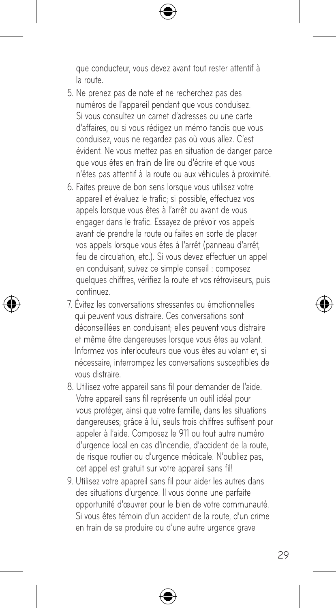que conducteur, vous devez avant tout rester attentif à la route.

- 5. Ne prenez pas de note et ne recherchez pas des numéros de l'appareil pendant que vous conduisez. Si vous consultez un carnet d'adresses ou une carte d'affaires, ou si vous rédigez un mémo tandis que vous conduisez, vous ne regardez pas où vous allez. C'est évident. Ne vous mettez pas en situation de danger parce que vous êtes en train de lire ou d'écrire et que vous n'êtes pas attentif à la route ou aux véhicules à proximité.
- 6. Faites preuve de bon sens lorsque vous utilisez votre appareil et évaluez le trafic; si possible, effectuez vos appels lorsque vous êtes à l'arrêt ou avant de vous engager dans le trafic. Essayez de prévoir vos appels avant de prendre la route ou faites en sorte de placer vos appels lorsque vous êtes à l'arrêt (panneau d'arrêt, feu de circulation, etc.). Si vous devez effectuer un appel en conduisant, suivez ce simple conseil : composez quelques chiffres, vérifiez la route et vos rétroviseurs, puis continuez.
- 7. Évitez les conversations stressantes ou émotionnelles qui peuvent vous distraire. Ces conversations sont déconseillées en conduisant; elles peuvent vous distraire et même être dangereuses lorsque vous êtes au volant. Informez vos interlocuteurs que vous êtes au volant et, si nécessaire, interrompez les conversations susceptibles de vous distraire.
- 8. Utilisez votre appareil sans fil pour demander de l'aide. Votre appareil sans fil représente un outil idéal pour vous protéger, ainsi que votre famille, dans les situations dangereuses; grâce à lui, seuls trois chiffres suffisent pour appeler à l'aide. Composez le 911 ou tout autre numéro d'urgence local en cas d'incendie, d'accident de la route, de risque routier ou d'urgence médicale. N'oubliez pas, cet appel est gratuit sur votre appareil sans fil!
- 9. Utilisez votre apapreil sans fil pour aider les autres dans des situations d'urgence. Il vous donne une parfaite opportunité d'œuvrer pour le bien de votre communauté. Si vous êtes témoin d'un accident de la route, d'un crime en train de se produire ou d'une autre urgence grave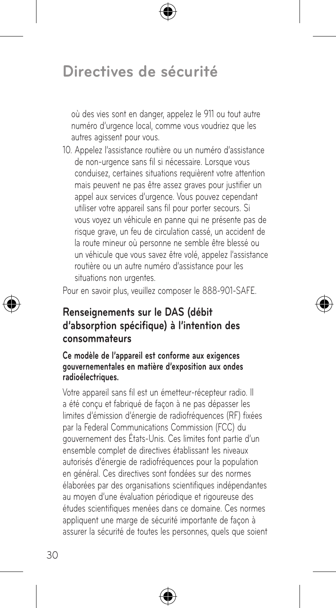où des vies sont en danger, appelez le 911 ou tout autre numéro d'urgence local, comme vous voudriez que les autres agissent pour vous.

10. Appelez l'assistance routière ou un numéro d'assistance de non-urgence sans fil si nécessaire. Lorsque vous conduisez, certaines situations requièrent votre attention mais peuvent ne pas être assez graves pour justifier un appel aux services d'urgence. Vous pouvez cependant utiliser votre appareil sans fil pour porter secours. Si vous voyez un véhicule en panne qui ne présente pas de risque grave, un feu de circulation cassé, un accident de la route mineur où personne ne semble être blessé ou un véhicule que vous savez être volé, appelez l'assistance routière ou un autre numéro d'assistance pour les situations non urgentes.

Pour en savoir plus, veuillez composer le 888-901-SAFE.

### **Renseignements sur le DAS (débit d'absorption spécifique) à l'intention des consommateurs**

#### **Ce modèle de l'appareil est conforme aux exigences gouvernementales en matière d'exposition aux ondes radioélectriques.**

Votre appareil sans fil est un émetteur-récepteur radio. Il a été conçu et fabriqué de façon à ne pas dépasser les limites d'émission d'énergie de radiofréquences (RF) fixées par la Federal Communications Commission (FCC) du gouvernement des États-Unis. Ces limites font partie d'un ensemble complet de directives établissant les niveaux autorisés d'énergie de radiofréquences pour la population en général. Ces directives sont fondées sur des normes élaborées par des organisations scientifiques indépendantes au moyen d'une évaluation périodique et rigoureuse des études scientifiques menées dans ce domaine. Ces normes appliquent une marge de sécurité importante de façon à assurer la sécurité de toutes les personnes, quels que soient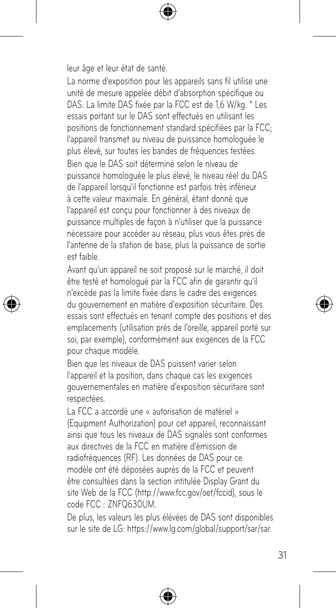leur âge et leur état de santé.

La norme d'exposition pour les appareils sans fil utilise une unité de mesure appelée débit d'absorption spécifique ou DAS. La limite DAS fixée par la FCC est de 1,6 W/kg. \* Les essais portant sur le DAS sont effectués en utilisant les positions de fonctionnement standard spécifiées par la FCC; l'appareil transmet au niveau de puissance homologuée le plus élevé, sur toutes les bandes de fréquences testées. Bien que le DAS soit déterminé selon le niveau de puissance homologuée le plus élevé, le niveau réel du DAS de l'appareil lorsqu'il fonctionne est parfois très inférieur à cette valeur maximale. En général, étant donné que l'appareil est conçu pour fonctionner à des niveaux de puissance multiples de façon à n'utiliser que la puissance nécessaire pour accéder au réseau, plus vous êtes près de l'antenne de la station de base, plus la puissance de sortie est faible.

Avant qu'un appareil ne soit proposé sur le marché, il doit être testé et homologué par la FCC afin de garantir qu'il n'excède pas la limite fixée dans le cadre des exigences du gouvernement en matière d'exposition sécuritaire. Des essais sont effectués en tenant compte des positions et des emplacements (utilisation près de l'oreille, appareil porté sur soi, par exemple), conformément aux exigences de la FCC pour chaque modèle.

Bien que les niveaux de DAS puissent varier selon l'appareil et la position, dans chaque cas les exigences gouvernementales en matière d'exposition sécuritaire sont respectées.

La FCC a accordé une « autorisation de matériel » (Equipment Authorization) pour cet appareil, reconnaissant ainsi que tous les niveaux de DAS signalés sont conformes aux directives de la FCC en matière d'émission de radiofréquences (RF). Les données de DAS pour ce modèle ont été déposées auprès de la FCC et peuvent être consultées dans la section intitulée Display Grant du site Web de la FCC (http://www.fcc.gov/oet/fccid), sous le code FCC : ZNFQ630UM.

De plus, les valeurs les plus élévées de DAS sont disponibles sur le site de LG: https://www.lg.com/global/support/sar/sar.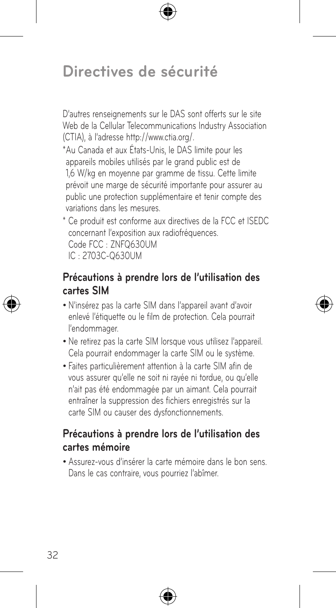## **Directives de sécurité**

D'autres renseignements sur le DAS sont offerts sur le site Web de la Cellular Telecommunications Industry Association (CTIA), à l'adresse http://www.ctia.org/.

\*Au Canada et aux États-Unis, le DAS limite pour les appareils mobiles utilisés par le grand public est de 1,6 W/kg en moyenne par gramme de tissu. Cette limite prévoit une marge de sécurité importante pour assurer au public une protection supplémentaire et tenir compte des variations dans les mesures.

\* Ce produit est conforme aux directives de la FCC et ISEDC concernant l'exposition aux radiofréquences. Code FCC : ZNFQ630UM IC : 2703C-Q630UM

#### **Précautions à prendre lors de l'utilisation des cartes SIM**

- • N'insérez pas la carte SIM dans l'appareil avant d'avoir enlevé l'étiquette ou le film de protection. Cela pourrait l'endommager.
- • Ne retirez pas la carte SIM lorsque vous utilisez l'appareil. Cela pourrait endommager la carte SIM ou le système.
- • Faites particulièrement attention à la carte SIM afin de vous assurer qu'elle ne soit ni rayée ni tordue, ou qu'elle n'ait pas été endommagée par un aimant. Cela pourrait entraîner la suppression des fichiers enregistrés sur la carte SIM ou causer des dysfonctionnements.

#### **Précautions à prendre lors de l'utilisation des cartes mémoire**

• Assurez-vous d'insérer la carte mémoire dans le bon sens. Dans le cas contraire, vous pourriez l'abîmer.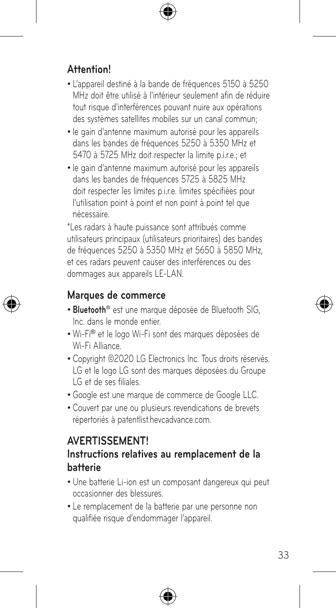#### **Attention!**

- • L'appareil destiné à la bande de fréquences 5150 à 5250 MHz doit être utilisé à l'intérieur seulement afin de réduire tout risque d'interférences pouvant nuire aux opérations des systèmes satellites mobiles sur un canal commun;
- • le gain d'antenne maximum autorisé pour les appareils dans les bandes de fréquences 5250 à 5350 MHz et 5470 à 5725 MHz doit respecter la limite p.i.r.e.; et
- • le gain d'antenne maximum autorisé pour les appareils dans les bandes de fréquences 5725 à 5825 MHz doit respecter les limites p.i.r.e. limites spécifiées pour l'utilisation point à point et non point à point tel que nécessaire.

\*Les radars à haute puissance sont attribués comme utilisateurs principaux (utilisateurs prioritaires) des bandes de fréquences 5250 à 5350 MHz et 5650 à 5850 MHz, et ces radars peuvent causer des interférences ou des dommages aux appareils LE-LAN.

#### **Marques de commerce**

- • **Bluetooth®** est une marque déposée de Bluetooth SIG, Inc. dans le monde entier.
- • Wi-Fi® et le logo Wi-Fi sont des marques déposées de Wi-Fi Alliance.
- Copyright ©2020 LG Electronics Inc. Tous droits réservés. LG et le logo LG sont des marques déposées du Groupe LG et de ses filiales.
- • Google est une marque de commerce de Google LLC.
- • Couvert par une ou plusieurs revendications de brevets répertoriés à patentlist.hevcadvance.com.

#### **AVERTISSEMENT!**

#### **Instructions relatives au remplacement de la batterie**

- Une batterie Li-ion est un composant dangereux qui peut occasionner des blessures.
- Le remplacement de la batterie par une personne non qualifiée risque d'endommager l'appareil.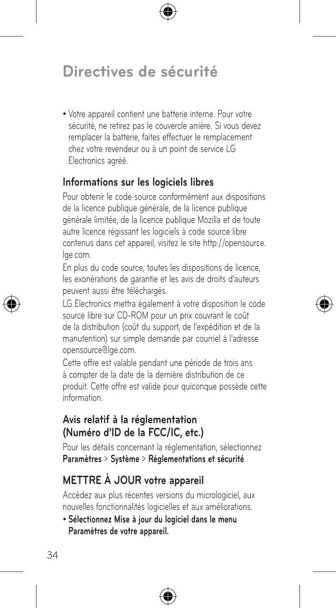# **Directives de sécurité**

• Votre appareil contient une batterie interne. Pour votre sécurité, ne retirez pas le couvercle arrière. Si vous devez remplacer la batterie, faites effectuer le remplacement chez votre revendeur ou à un point de service LG Electronics agréé.

#### **Informations sur les logiciels libres**

Pour obtenir le code source conformément aux dispositions de la licence publique générale, de la licence publique générale limitée, de la licence publique Mozilla et de toute autre licence régissant les logiciels à code source libre contenus dans cet appareil, visitez le site http://opensource. lge.com.

En plus du code source, toutes les dispositions de licence, les exonérations de garantie et les avis de droits d'auteurs peuvent aussi être téléchargés.

LG Electronics mettra également à votre disposition le code source libre sur CD-ROM pour un prix couvrant le coût de la distribution (coût du support, de l'expédition et de la manutention) sur simple demande par courriel à l'adresse opensource@lge.com.

Cette offre est valable pendant une période de trois ans à compter de la date de la dernière distribution de ce produit. Cette offre est valide pour quiconque possède cette information.

#### **Avis relatif à la réglementation (Numéro d'ID de la FCC/IC, etc.)**

Pour les détails concernant la réglementation, sélectionnez **Paramètres** > **Système** > **Réglementations et sécurité**.

## **METTRE À JOUR votre appareil**

Accédez aux plus récentes versions du micrologiciel, aux nouvelles fonctionnalités logicielles et aux améliorations.

• **Sélectionnez Mise à jour du logiciel dans le menu Paramètres de votre appareil.**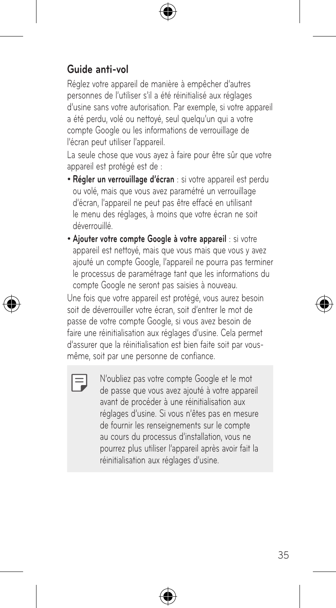#### **Guide anti-vol**

Réglez votre appareil de manière à empêcher d'autres personnes de l'utiliser s'il a été réinitialisé aux réglages d'usine sans votre autorisation. Par exemple, si votre appareil a été perdu, volé ou nettoyé, seul quelqu'un qui a votre compte Google ou les informations de verrouillage de l'écran peut utiliser l'appareil.

La seule chose que vous ayez à faire pour être sûr que votre appareil est protégé est de :

- • **Régler un verrouillage d'écran** : si votre appareil est perdu ou volé, mais que vous avez paramétré un verrouillage d'écran, l'appareil ne peut pas être effacé en utilisant le menu des réglages, à moins que votre écran ne soit déverrouillé.
- • **Ajouter votre compte Google à votre appareil** : si votre appareil est nettoyé, mais que vous mais que vous y avez ajouté un compte Google, l'appareil ne pourra pas terminer le processus de paramétrage tant que les informations du compte Google ne seront pas saisies à nouveau.

Une fois que votre appareil est protégé, vous aurez besoin soit de déverrouiller votre écran, soit d'entrer le mot de passe de votre compte Google, si vous avez besoin de faire une réinitialisation aux réglages d'usine. Cela permet d'assurer que la réinitialisation est bien faite soit par vousmême, soit par une personne de confiance.



N'oubliez pas votre compte Google et le mot de passe que vous avez ajouté à votre appareil avant de procéder à une réinitialisation aux réglages d'usine. Si vous n'êtes pas en mesure de fournir les renseignements sur le compte au cours du processus d'installation, vous ne pourrez plus utiliser l'appareil après avoir fait la réinitialisation aux réglages d'usine.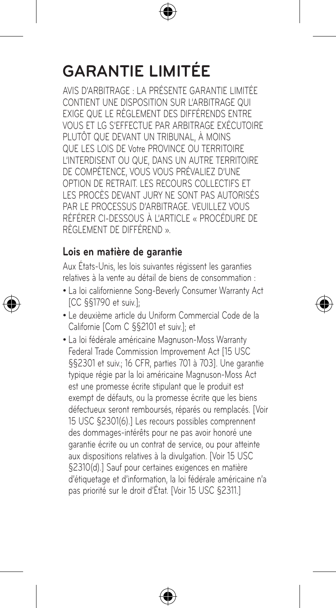# **GARANTIE LIMITÉE**

AVIS D'ARBITRAGE : LA PRÉSENTE GARANTIE LIMITÉE CONTIENT UNE DISPOSITION SUR L'ARBITRAGE QUI EXIGE QUE LE RÈGLEMENT DES DIFFÉRENDS ENTRE VOUS ET LG S'EFFECTUE PAR ARBITRAGE EXÉCUTOIRE PLUTÔT QUE DEVANT UN TRIBUNAL, À MOINS QUE LES LOIS DE Votre PROVINCE OU TERRITOIRE L'INTERDISENT OU QUE, DANS UN AUTRE TERRITOIRE DE COMPÉTENCE, VOUS VOUS PRÉVALIEZ D'UNE OPTION DE RETRAIT. LES RECOURS COLLECTIFS ET LES PROCÈS DEVANT JURY NE SONT PAS AUTORISÉS PAR LE PROCESSUS D'ARBITRAGE. VEUILLEZ VOUS RÉFÉRER CI-DESSOUS À L'ARTICLE « PROCÉDURE DE RÈGLEMENT DE DIFFÉREND ».

#### **Lois en matière de garantie**

Aux États-Unis, les lois suivantes régissent les garanties relatives à la vente au détail de biens de consommation :

- • La loi californienne Song-Beverly Consumer Warranty Act [CC §§1790 et suiv.];
- • Le deuxième article du Uniform Commercial Code de la Californie [Com C §§2101 et suiv.]; et
- La loi fédérale américaine Magnuson-Moss Warranty Federal Trade Commission Improvement Act [15 USC §§2301 et suiv.; 16 CFR, parties 701 à 7031. Une garantie typique régie par la loi américaine Magnuson-Moss Act est une promesse écrite stipulant que le produit est exempt de défauts, ou la promesse écrite que les biens défectueux seront remboursés, réparés ou remplacés. [Voir 15 USC §2301(6).] Les recours possibles comprennent des dommages-intérêts pour ne pas avoir honoré une garantie écrite ou un contrat de service, ou pour atteinte aux dispositions relatives à la divulgation. [Voir 15 USC §2310(d).] Sauf pour certaines exigences en matière d'étiquetage et d'information, la loi fédérale américaine n'a pas priorité sur le droit d'État. [Voir 15 USC §2311.]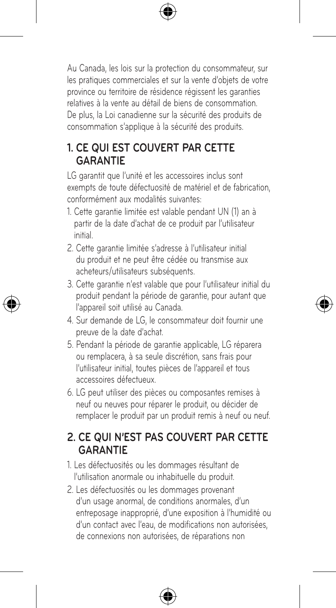Au Canada, les lois sur la protection du consommateur, sur les pratiques commerciales et sur la vente d'objets de votre province ou territoire de résidence régissent les garanties relatives à la vente au détail de biens de consommation. De plus, la Loi canadienne sur la sécurité des produits de consommation s'applique à la sécurité des produits.

#### **1. CE QUI EST COUVERT PAR CETTE GARANTIE**

LG garantit que l'unité et les accessoires inclus sont exempts de toute défectuosité de matériel et de fabrication, conformément aux modalités suivantes:

- 1. Cette garantie limitée est valable pendant UN (1) an à partir de la date d'achat de ce produit par l'utilisateur initial.
- 2. Cette garantie limitée s'adresse à l'utilisateur initial du produit et ne peut être cédée ou transmise aux acheteurs/utilisateurs subséquents.
- 3. Cette garantie n'est valable que pour l'utilisateur initial du produit pendant la période de garantie, pour autant que l'appareil soit utilisé au Canada.
- 4. Sur demande de LG, le consommateur doit fournir une preuve de la date d'achat.
- 5. Pendant la période de garantie applicable, LG réparera ou remplacera, à sa seule discrétion, sans frais pour l'utilisateur initial, toutes pièces de l'appareil et tous accessoires défectueux.
- 6. LG peut utiliser des pièces ou composantes remises à neuf ou neuves pour réparer le produit, ou décider de remplacer le produit par un produit remis à neuf ou neuf.

### **2. CE QUI N'EST PAS COUVERT PAR CETTE GARANTIE**

- 1. Les défectuosités ou les dommages résultant de l'utilisation anormale ou inhabituelle du produit.
- 2. Les défectuosités ou les dommages provenant d'un usage anormal, de conditions anormales, d'un entreposage inapproprié, d'une exposition à l'humidité ou d'un contact avec l'eau, de modifications non autorisées, de connexions non autorisées, de réparations non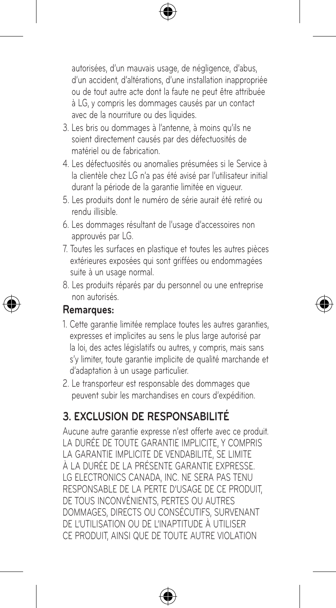autorisées, d'un mauvais usage, de négligence, d'abus, d'un accident, d'altérations, d'une installation inappropriée ou de tout autre acte dont la faute ne peut être attribuée à LG, y compris les dommages causés par un contact avec de la nourriture ou des liquides.

- 3. Les bris ou dommages à l'antenne, à moins qu'ils ne soient directement causés par des défectuosités de matériel ou de fabrication.
- 4. Les défectuosités ou anomalies présumées si le Service à la clientèle chez LG n'a pas été avisé par l'utilisateur initial durant la période de la garantie limitée en vigueur.
- 5. Les produits dont le numéro de série aurait été retiré ou rendu illisible.
- 6. Les dommages résultant de l'usage d'accessoires non approuvés par LG.
- 7. Toutes les surfaces en plastique et toutes les autres pièces extérieures exposées qui sont griffées ou endommagées suite à un usage normal.
- 8. Les produits réparés par du personnel ou une entreprise non autorisés.

#### **Remarques:**

- 1. Cette garantie limitée remplace toutes les autres garanties, expresses et implicites au sens le plus large autorisé par la loi, des actes législatifs ou autres, y compris, mais sans s'y limiter, toute garantie implicite de qualité marchande et d'adaptation à un usage particulier.
- 2. Le transporteur est responsable des dommages que peuvent subir les marchandises en cours d'expédition.

#### **3. EXCLUSION DE RESPONSABILITÉ**

Aucune autre garantie expresse n'est offerte avec ce produit. LA DURÉE DE TOUTE GARANTIE IMPLICITE, Y COMPRIS LA GARANTIE IMPLICITE DE VENDABILITÉ, SE LIMITE À LA DURÉE DE LA PRÉSENTE GARANTIE EXPRESSE. LG ELECTRONICS CANADA, INC. NE SERA PAS TENU RESPONSABLE DE LA PERTE D'USAGE DE CE PRODUIT, DE TOUS INCONVÉNIENTS, PERTES OU AUTRES DOMMAGES, DIRECTS OU CONSÉCUTIFS, SURVENANT DE L'UTILISATION OU DE L'INAPTITUDE À UTILISER CE PRODUIT, AINSI QUE DE TOUTE AUTRE VIOLATION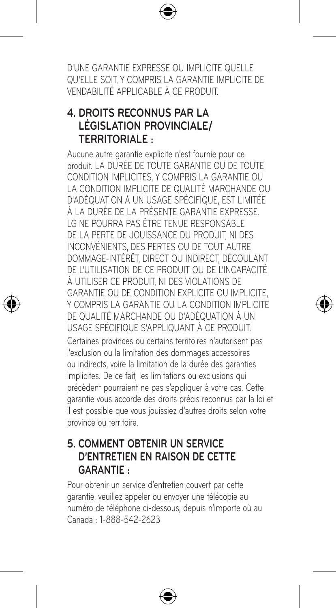D'UNE GARANTIE EXPRESSE OU IMPLICITE QUELLE QU'ELLE SOIT, Y COMPRIS LA GARANTIE IMPLICITE DE VENDABILITÉ APPLICABLE À CE PRODUIT.

#### **4. DROITS RECONNUS PAR LA LÉGISLATION PROVINCIALE/ TERRITORIALE :**

Aucune autre garantie explicite n'est fournie pour ce produit. LA DURÉE DE TOUTE GARANTIE OU DE TOUTE CONDITION IMPLICITES, Y COMPRIS LA GARANTIE OU LA CONDITION IMPLICITE DE QUALITÉ MARCHANDE OU D'ADÉQUATION À UN USAGE SPÉCIFIQUE, EST LIMITÉE À LA DURÉE DE LA PRÉSENTE GARANTIE EXPRESSE. LG NE POURRA PAS ÊTRE TENUE RESPONSABLE DE LA PERTE DE JOUISSANCE DU PRODUIT, NI DES INCONVÉNIENTS, DES PERTES OU DE TOUT AUTRE DOMMAGE-INTÉRÊT, DIRECT OU INDIRECT, DÉCOULANT DE L'UTILISATION DE CE PRODUIT OU DE L'INCAPACITÉ À UTILISER CE PRODUIT, NI DES VIOLATIONS DE GARANTIE OU DE CONDITION EXPLICITE OU IMPLICITE, Y COMPRIS LA GARANTIE OU LA CONDITION IMPLICITE DE QUALITÉ MARCHANDE OU D'ADÉQUATION À UN USAGE SPÉCIFIQUE S'APPLIQUANT À CE PRODUIT. Certaines provinces ou certains territoires n'autorisent pas l'exclusion ou la limitation des dommages accessoires ou indirects, voire la limitation de la durée des garanties implicites. De ce fait, les limitations ou exclusions qui précèdent pourraient ne pas s'appliquer à votre cas. Cette garantie vous accorde des droits précis reconnus par la loi et il est possible que vous jouissiez d'autres droits selon votre province ou territoire.

#### **5. COMMENT OBTENIR UN SERVICE D'ENTRETIEN EN RAISON DE CETTE GARANTIE :**

Pour obtenir un service d'entretien couvert par cette garantie, veuillez appeler ou envoyer une télécopie au numéro de téléphone ci-dessous, depuis n'importe où au Canada : 1-888-542-2623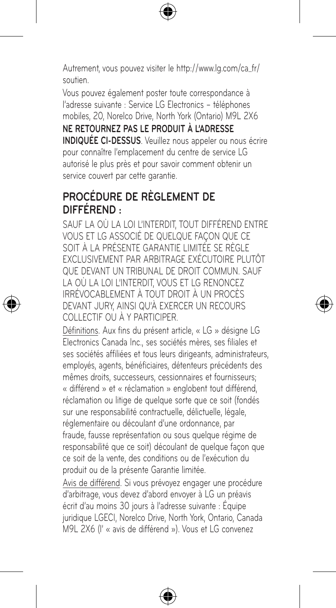Autrement, vous pouvez visiter le http://www.lg.com/ca\_fr/ soutien.

Vous pouvez également poster toute correspondance à l'adresse suivante : Service LG Electronics – téléphones mobiles, 20, Norelco Drive, North York (Ontario) M9L 2X6

**NE RETOURNEZ PAS LE PRODUIT À L'ADRESSE INDIQUÉE CI-DESSUS**. Veuillez nous appeler ou nous écrire pour connaître l'emplacement du centre de service LG autorisé le plus près et pour savoir comment obtenir un service couvert par cette garantie.

#### **PROCÉDURE DE RÈGLEMENT DE DIFFÉREND :**

SAUF LA OÙ LA LOI L'INTERDIT, TOUT DIFFÉREND ENTRE VOUS ET LG ASSOCIÉ DE QUELQUE FAÇON QUE CE SOIT À LA PRÉSENTE GARANTIE LIMITÉE SE RÈGLE EXCLUSIVEMENT PAR ARBITRAGE EXÉCUTOIRE PLUTÔT QUE DEVANT UN TRIBUNAL DE DROIT COMMUN. SAUF LA OÙ LA LOI L'INTERDIT, VOUS ET LG RENONCEZ IRRÉVOCABLEMENT À TOUT DROIT À UN PROCÈS DEVANT JURY, AINSI QU'À EXERCER UN RECOURS COLLECTIF OU À Y PARTICIPER.

Définitions. Aux fins du présent article, « LG » désigne LG Electronics Canada Inc., ses sociétés mères, ses filiales et ses sociétés affiliées et tous leurs dirigeants, administrateurs, employés, agents, bénéficiaires, détenteurs précédents des mêmes droits, successeurs, cessionnaires et fournisseurs; « différend » et « réclamation » englobent tout différend, réclamation ou litige de quelque sorte que ce soit (fondés sur une responsabilité contractuelle, délictuelle, légale, réglementaire ou découlant d'une ordonnance, par fraude, fausse représentation ou sous quelque régime de responsabilité que ce soit) découlant de quelque façon que ce soit de la vente, des conditions ou de l'exécution du produit ou de la présente Garantie limitée.

Avis de différend. Si vous prévoyez engager une procédure d'arbitrage, vous devez d'abord envoyer à LG un préavis écrit d'au moins 30 jours à l'adresse suivante : Équipe juridique LGECI, Norelco Drive, North York, Ontario, Canada M9L 2X6 (l' « avis de différend »). Vous et LG convenez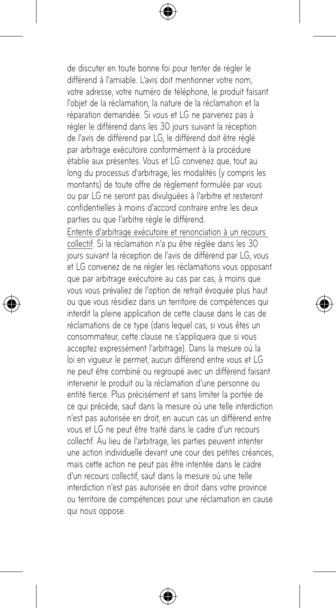de discuter en toute bonne foi pour tenter de régler le différend à l'amiable. L'avis doit mentionner votre nom, votre adresse, votre numéro de téléphone, le produit faisant l'objet de la réclamation, la nature de la réclamation et la réparation demandée. Si vous et LG ne parvenez pas à régler le différend dans les 30 jours suivant la réception de l'avis de différend par LG, le différend doit être réglé par arbitrage exécutoire conformément à la procédure établie aux présentes. Vous et LG convenez que, tout au long du processus d'arbitrage, les modalités (y compris les montants) de toute offre de règlement formulée par vous ou par LG ne seront pas divulguées à l'arbitre et resteront confidentielles à moins d'accord contraire entre les deux parties ou que l'arbitre règle le différend.

Entente d'arbitrage exécutoire et renonciation à un recours collectif. Si la réclamation n'a pu être réglée dans les 30 jours suivant la réception de l'avis de différend par LG, vous et LG convenez de ne régler les réclamations vous opposant que par arbitrage exécutoire au cas par cas, à moins que vous vous prévaliez de l'option de retrait évoquée plus haut ou que vous résidiez dans un territoire de compétences qui interdit la pleine application de cette clause dans le cas de réclamations de ce type (dans lequel cas, si vous êtes un consommateur, cette clause ne s'appliquera que si vous acceptez expressément l'arbitrage). Dans la mesure où la loi en vigueur le permet, aucun différend entre vous et LG ne peut être combiné ou regroupé avec un différend faisant intervenir le produit ou la réclamation d'une personne ou entité tierce. Plus précisément et sans limiter la portée de ce qui précède, sauf dans la mesure où une telle interdiction n'est pas autorisée en droit, en aucun cas un différend entre vous et LG ne peut être traité dans le cadre d'un recours collectif. Au lieu de l'arbitrage, les parties peuvent intenter une action individuelle devant une cour des petites créances, mais cette action ne peut pas être intentée dans le cadre d'un recours collectif, sauf dans la mesure où une telle interdiction n'est pas autorisée en droit dans votre province ou territoire de compétences pour une réclamation en cause qui nous oppose.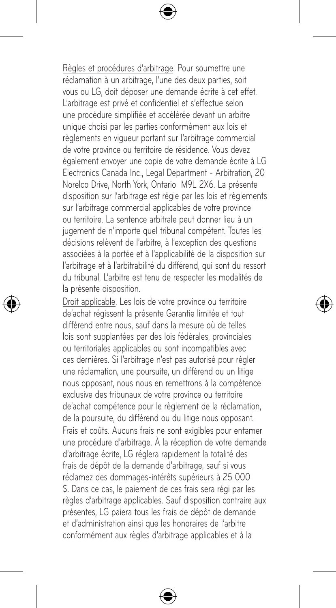Règles et procédures d'arbitrage. Pour soumettre une réclamation à un arbitrage, l'une des deux parties, soit vous ou LG, doit déposer une demande écrite à cet effet. L'arbitrage est privé et confidentiel et s'effectue selon une procédure simplifiée et accélérée devant un arbitre unique choisi par les parties conformément aux lois et règlements en vigueur portant sur l'arbitrage commercial de votre province ou territoire de résidence. Vous devez également envoyer une copie de votre demande écrite à LG Electronics Canada Inc., Legal Department - Arbitration, 20 Norelco Drive, North York, Ontario M9L 2X6. La présente disposition sur l'arbitrage est régie par les lois et règlements sur l'arbitrage commercial applicables de votre province ou territoire. La sentence arbitrale peut donner lieu à un jugement de n'importe quel tribunal compétent. Toutes les décisions relèvent de l'arbitre, à l'exception des questions associées à la portée et à l'applicabilité de la disposition sur l'arbitrage et à l'arbitrabilité du différend, qui sont du ressort du tribunal. L'arbitre est tenu de respecter les modalités de la présente disposition.

Droit applicable. Les lois de votre province ou territoire de'achat régissent la présente Garantie limitée et tout différend entre nous, sauf dans la mesure où de telles lois sont supplantées par des lois fédérales, provinciales ou territoriales applicables ou sont incompatibles avec ces dernières. Si l'arbitrage n'est pas autorisé pour régler une réclamation, une poursuite, un différend ou un litige nous opposant, nous nous en remettrons à la compétence exclusive des tribunaux de votre province ou territoire de'achat compétence pour le règlement de la réclamation, de la poursuite, du différend ou du litige nous opposant. Frais et coûts. Aucuns frais ne sont exigibles pour entamer une procédure d'arbitrage. À la réception de votre demande d'arbitrage écrite, LG réglera rapidement la totalité des frais de dépôt de la demande d'arbitrage, sauf si vous réclamez des dommages-intérêts supérieurs à 25 000 \$. Dans ce cas, le paiement de ces frais sera régi par les règles d'arbitrage applicables. Sauf disposition contraire aux présentes, LG paiera tous les frais de dépôt de demande et d'administration ainsi que les honoraires de l'arbitre conformément aux règles d'arbitrage applicables et à la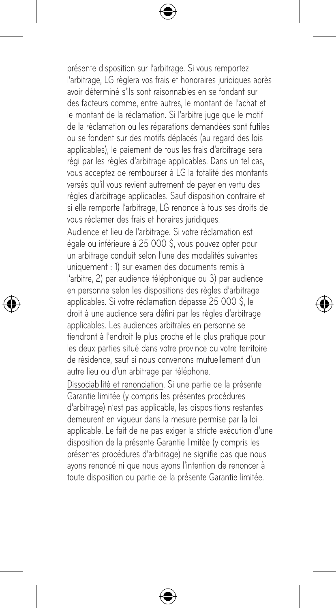présente disposition sur l'arbitrage. Si vous remportez l'arbitrage, LG règlera vos frais et honoraires juridiques après avoir déterminé s'ils sont raisonnables en se fondant sur des facteurs comme, entre autres, le montant de l'achat et le montant de la réclamation. Si l'arbitre juge que le motif de la réclamation ou les réparations demandées sont futiles ou se fondent sur des motifs déplacés (au regard des lois applicables), le paiement de tous les frais d'arbitrage sera régi par les règles d'arbitrage applicables. Dans un tel cas, vous acceptez de rembourser à LG la totalité des montants versés qu'il vous revient autrement de payer en vertu des règles d'arbitrage applicables. Sauf disposition contraire et si elle remporte l'arbitrage, LG renonce à tous ses droits de vous réclamer des frais et horaires juridiques.

Audience et lieu de l'arbitrage. Si votre réclamation est égale ou inférieure à 25 000 \$, vous pouvez opter pour un arbitrage conduit selon l'une des modalités suivantes uniquement : 1) sur examen des documents remis à l'arbitre, 2) par audience téléphonique ou 3) par audience en personne selon les dispositions des règles d'arbitrage applicables. Si votre réclamation dépasse 25 000 \$, le droit à une audience sera défini par les règles d'arbitrage applicables. Les audiences arbitrales en personne se tiendront à l'endroit le plus proche et le plus pratique pour les deux parties situé dans votre province ou votre territoire de résidence, sauf si nous convenons mutuellement d'un autre lieu ou d'un arbitrage par téléphone.

Dissociabilité et renonciation. Si une partie de la présente Garantie limitée (y compris les présentes procédures d'arbitrage) n'est pas applicable, les dispositions restantes demeurent en vigueur dans la mesure permise par la loi applicable. Le fait de ne pas exiger la stricte exécution d'une disposition de la présente Garantie limitée (y compris les présentes procédures d'arbitrage) ne signifie pas que nous ayons renoncé ni que nous ayons l'intention de renoncer à toute disposition ou partie de la présente Garantie limitée.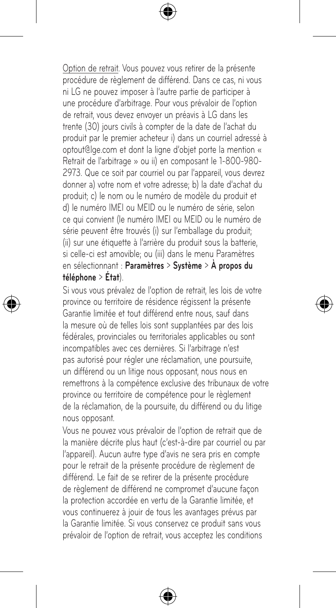Option de retrait. Vous pouvez vous retirer de la présente procédure de règlement de différend. Dans ce cas, ni vous ni LG ne pouvez imposer à l'autre partie de participer à une procédure d'arbitrage. Pour vous prévaloir de l'option de retrait, vous devez envoyer un préavis à LG dans les trente (30) jours civils à compter de la date de l'achat du produit par le premier acheteur i) dans un courriel adressé à optout@lge.com et dont la ligne d'objet porte la mention « Retrait de l'arbitrage » ou ii) en composant le 1-800-980- 2973. Que ce soit par courriel ou par l'appareil, vous devrez donner a) votre nom et votre adresse; b) la date d'achat du produit; c) le nom ou le numéro de modèle du produit et d) le numéro IMEI ou MEID ou le numéro de série, selon ce qui convient (le numéro IMEI ou MEID ou le numéro de série peuvent être trouvés (i) sur l'emballage du produit; (ii) sur une étiquette à l'arrière du produit sous la batterie, si celle-ci est amovible; ou (iii) dans le menu Paramètres en sélectionnant : **Paramètres** > **Système** > **À propos du téléphone** > **État**).

Si vous vous prévalez de l'option de retrait, les lois de votre province ou territoire de résidence régissent la présente Garantie limitée et tout différend entre nous, sauf dans la mesure où de telles lois sont supplantées par des lois fédérales, provinciales ou territoriales applicables ou sont incompatibles avec ces dernières. Si l'arbitrage n'est pas autorisé pour régler une réclamation, une poursuite, un différend ou un litige nous opposant, nous nous en remettrons à la compétence exclusive des tribunaux de votre province ou territoire de compétence pour le règlement de la réclamation, de la poursuite, du différend ou du litige nous opposant.

Vous ne pouvez vous prévaloir de l'option de retrait que de la manière décrite plus haut (c'est-à-dire par courriel ou par l'appareil). Aucun autre type d'avis ne sera pris en compte pour le retrait de la présente procédure de règlement de différend. Le fait de se retirer de la présente procédure de règlement de différend ne compromet d'aucune façon la protection accordée en vertu de la Garantie limitée, et vous continuerez à jouir de tous les avantages prévus par la Garantie limitée. Si vous conservez ce produit sans vous prévaloir de l'option de retrait, vous acceptez les conditions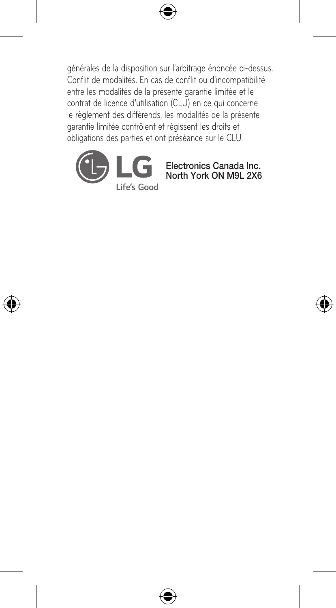générales de la disposition sur l'arbitrage énoncée ci-dessus. Conflit de modalités. En cas de conflit ou d'incompatibilité entre les modalités de la présente garantie limitée et le contrat de licence d'utilisation (CLU) en ce qui concerne le règlement des différends, les modalités de la présente garantie limitée contrôlent et régissent les droits et obligations des parties et ont préséance sur le CLU.